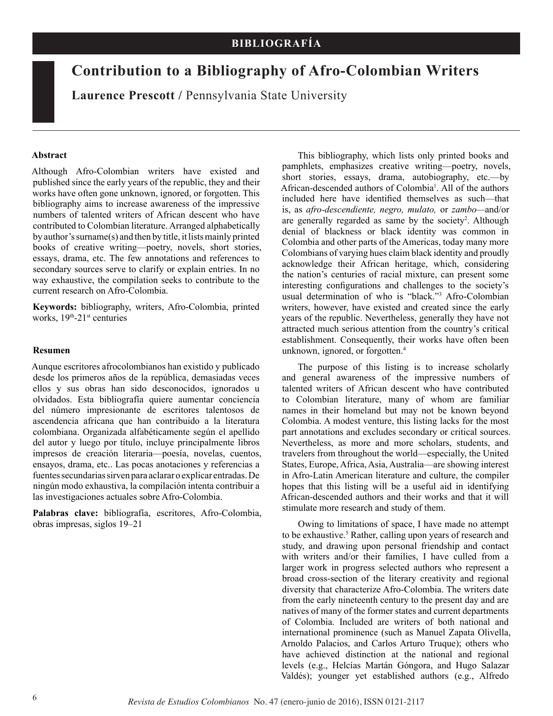# **Contribution to a Bibliography of Afro-Colombian Writers**

**Laurence Prescott /** Pennsylvania State University

#### **Abstract**

Although Afro-Colombian writers have existed and published since the early years of the republic, they and their works have often gone unknown, ignored, or forgotten. This bibliography aims to increase awareness of the impressive numbers of talented writers of African descent who have contributed to Colombian literature. Arranged alphabetically by author's surname(s) and then by title, it lists mainly printed books of creative writing—poetry, novels, short stories, essays, drama, etc. The few annotations and references to secondary sources serve to clarify or explain entries. In no way exhaustive, the compilation seeks to contribute to the current research on Afro-Colombia.

**Keywords:** bibliography, writers, Afro-Colombia, printed works,  $19<sup>th</sup> - 21<sup>st</sup>$  centuries

#### **Resumen**

Aunque escritores afrocolombianos han existido y publicado desde los primeros años de la república, demasiadas veces ellos y sus obras han sido desconocidos, ignorados u olvidados. Esta bibliografía quiere aumentar conciencia del número impresionante de escritores talentosos de ascendencia africana que han contribuido a la literatura colombiana. Organizada alfabéticamente según el apellido del autor y luego por título, incluye principalmente libros impresos de creación literaria—poesía, novelas, cuentos, ensayos, drama, etc.. Las pocas anotaciones y referencias a fuentes secundarias sirven para aclarar o explicar entradas. De ningún modo exhaustiva, la compilación intenta contribuir a las investigaciones actuales sobre Afro-Colombia.

**Palabras clave:** bibliografía, escritores, Afro-Colombia, obras impresas, siglos 19–21

This bibliography, which lists only printed books and pamphlets, emphasizes creative writing—poetry, novels, short stories, essays, drama, autobiography, etc.—by African-descended authors of Colombia1 . All of the authors included here have identified themselves as such—that is, as *afro-descendiente, negro, mulato,* or *zambo—*and/or are generally regarded as same by the society<sup>2</sup>. Although denial of blackness or black identity was common in Colombia and other parts of the Americas, today many more Colombians of varying hues claim black identity and proudly acknowledge their African heritage, which, considering the nation's centuries of racial mixture, can present some interesting configurations and challenges to the society's usual determination of who is "black."3 Afro-Colombian writers, however, have existed and created since the early years of the republic. Nevertheless, generally they have not attracted much serious attention from the country's critical establishment. Consequently, their works have often been unknown, ignored, or forgotten.4

The purpose of this listing is to increase scholarly and general awareness of the impressive numbers of talented writers of African descent who have contributed to Colombian literature, many of whom are familiar names in their homeland but may not be known beyond Colombia. A modest venture, this listing lacks for the most part annotations and excludes secondary or critical sources. Nevertheless, as more and more scholars, students, and travelers from throughout the world—especially, the United States, Europe, Africa, Asia, Australia—are showing interest in Afro-Latin American literature and culture, the compiler hopes that this listing will be a useful aid in identifying African-descended authors and their works and that it will stimulate more research and study of them.

Owing to limitations of space, I have made no attempt to be exhaustive.<sup>5</sup> Rather, calling upon years of research and study, and drawing upon personal friendship and contact with writers and/or their families, I have culled from a larger work in progress selected authors who represent a broad cross-section of the literary creativity and regional diversity that characterize Afro-Colombia. The writers date from the early nineteenth century to the present day and are natives of many of the former states and current departments of Colombia. Included are writers of both national and international prominence (such as Manuel Zapata Olivella, Arnoldo Palacios, and Carlos Arturo Truque); others who have achieved distinction at the national and regional levels (e.g., Helcías Martán Góngora, and Hugo Salazar Valdés); younger yet established authors (e.g., Alfredo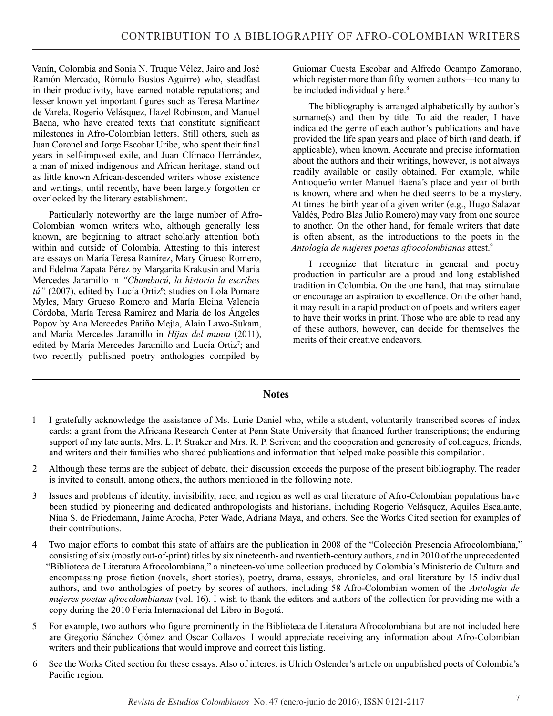Vanín, Colombia and Sonia N. Truque Vélez, Jairo and José Ramón Mercado, Rómulo Bustos Aguirre) who, steadfast in their productivity, have earned notable reputations; and lesser known yet important figures such as Teresa Martínez de Varela, Rogerio Velásquez, Hazel Robinson, and Manuel Baena, who have created texts that constitute significant milestones in Afro-Colombian letters. Still others, such as Juan Coronel and Jorge Escobar Uribe, who spent their final years in self-imposed exile, and Juan Clímaco Hernández, a man of mixed indigenous and African heritage, stand out as little known African-descended writers whose existence and writings, until recently, have been largely forgotten or overlooked by the literary establishment.

Particularly noteworthy are the large number of Afro-Colombian women writers who, although generally less known, are beginning to attract scholarly attention both within and outside of Colombia. Attesting to this interest are essays on María Teresa Ramírez, Mary Grueso Romero, and Edelma Zapata Pérez by Margarita Krakusin and María Mercedes Jaramillo in *"Chambacú, la historia la escribes*  tú" (2007), edited by Lucía Ortiz<sup>6</sup>; studies on Lola Pomare Myles, Mary Grueso Romero and María Elcina Valencia Córdoba, María Teresa Ramírez and María de los Ángeles Popov by Ana Mercedes Patiño Mejía, Alain Lawo-Sukam, and María Mercedes Jaramillo in *Hijas del muntu* (2011), edited by María Mercedes Jaramillo and Lucía Ortiz<sup>7</sup>; and two recently published poetry anthologies compiled by

Guiomar Cuesta Escobar and Alfredo Ocampo Zamorano, which register more than fifty women authors—too many to be included individually here.<sup>8</sup>

The bibliography is arranged alphabetically by author's surname(s) and then by title. To aid the reader, I have indicated the genre of each author's publications and have provided the life span years and place of birth (and death, if applicable), when known. Accurate and precise information about the authors and their writings, however, is not always readily available or easily obtained. For example, while Antioqueño writer Manuel Baena's place and year of birth is known, where and when he died seems to be a mystery. At times the birth year of a given writer (e.g., Hugo Salazar Valdés, Pedro Blas Julio Romero) may vary from one source to another. On the other hand, for female writers that date is often absent, as the introductions to the poets in the *Antología de mujeres poetas afrocolombianas* attest.9

I recognize that literature in general and poetry production in particular are a proud and long established tradition in Colombia. On the one hand, that may stimulate or encourage an aspiration to excellence. On the other hand, it may result in a rapid production of poets and writers eager to have their works in print. Those who are able to read any of these authors, however, can decide for themselves the merits of their creative endeavors.

### **Notes**

- 1 I gratefully acknowledge the assistance of Ms. Lurie Daniel who, while a student, voluntarily transcribed scores of index cards; a grant from the Africana Research Center at Penn State University that financed further transcriptions; the enduring support of my late aunts, Mrs. L. P. Straker and Mrs. R. P. Scriven; and the cooperation and generosity of colleagues, friends, and writers and their families who shared publications and information that helped make possible this compilation.
- 2 Although these terms are the subject of debate, their discussion exceeds the purpose of the present bibliography. The reader is invited to consult, among others, the authors mentioned in the following note.
- 3 Issues and problems of identity, invisibility, race, and region as well as oral literature of Afro-Colombian populations have been studied by pioneering and dedicated anthropologists and historians, including Rogerio Velásquez, Aquiles Escalante, Nina S. de Friedemann, Jaime Arocha, Peter Wade, Adriana Maya, and others. See the Works Cited section for examples of their contributions.
- 4 Two major efforts to combat this state of affairs are the publication in 2008 of the "Colección Presencia Afrocolombiana," consisting of six (mostly out-of-print) titles by six nineteenth- and twentieth-century authors, and in 2010 of the unprecedented "Biblioteca de Literatura Afrocolombiana," a nineteen-volume collection produced by Colombia's Ministerio de Cultura and encompassing prose fiction (novels, short stories), poetry, drama, essays, chronicles, and oral literature by 15 individual authors, and two anthologies of poetry by scores of authors, including 58 Afro-Colombian women of the *Antología de mujeres poetas afrocolombianas* (vol. 16). I wish to thank the editors and authors of the collection for providing me with a copy during the 2010 Feria Internacional del Libro in Bogotá.
- 5 For example, two authors who figure prominently in the Biblioteca de Literatura Afrocolombiana but are not included here are Gregorio Sánchez Gómez and Oscar Collazos. I would appreciate receiving any information about Afro-Colombian writers and their publications that would improve and correct this listing.
- 6 See the Works Cited section for these essays. Also of interest is Ulrich Oslender's article on unpublished poets of Colombia's Pacific region.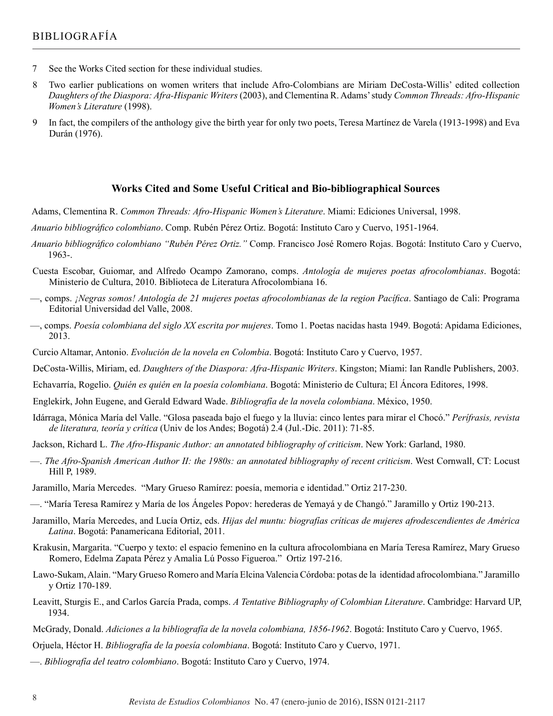- 7 See the Works Cited section for these individual studies.
- 8 Two earlier publications on women writers that include Afro-Colombians are Miriam DeCosta-Willis' edited collection *Daughters of the Diaspora: Afra-Hispanic Writers* (2003), and Clementina R. Adams' study *Common Threads: Afro-Hispanic Women's Literature* (1998).
- 9 In fact, the compilers of the anthology give the birth year for only two poets, Teresa Martínez de Varela (1913-1998) and Eva Durán (1976).

#### **Works Cited and Some Useful Critical and Bio-bibliographical Sources**

Adams, Clementina R. *Common Threads: Afro-Hispanic Women's Literature*. Miami: Ediciones Universal, 1998.

*Anuario bibliográfico colombiano*. Comp. Rubén Pérez Ortiz. Bogotá: Instituto Caro y Cuervo, 1951-1964.

- *Anuario bibliográfico colombiano "Rubén Pérez Ortiz."* Comp. Francisco José Romero Rojas. Bogotá: Instituto Caro y Cuervo, 1963-.
- Cuesta Escobar, Guiomar, and Alfredo Ocampo Zamorano, comps. *Antología de mujeres poetas afrocolombianas*. Bogotá: Ministerio de Cultura, 2010. Biblioteca de Literatura Afrocolombiana 16.
- —, comps. *¡Negras somos! Antología de 21 mujeres poetas afrocolombianas de la region Pacífica*. Santiago de Cali: Programa Editorial Universidad del Valle, 2008.
- —, comps. *Poesía colombiana del siglo XX escrita por mujeres*. Tomo 1. Poetas nacidas hasta 1949. Bogotá: Apidama Ediciones, 2013.
- Curcio Altamar, Antonio. *Evolución de la novela en Colombia*. Bogotá: Instituto Caro y Cuervo, 1957.
- DeCosta-Willis, Miriam, ed. *Daughters of the Diaspora: Afra-Hispanic Writers*. Kingston; Miami: Ian Randle Publishers, 2003.
- Echavarría, Rogelio. *Quién es quién en la poesía colombiana*. Bogotá: Ministerio de Cultura; El Áncora Editores, 1998.
- Englekirk, John Eugene, and Gerald Edward Wade. *Bibliografía de la novela colombiana*. México, 1950.
- Idárraga, Mónica María del Valle. "Glosa paseada bajo el fuego y la lluvia: cinco lentes para mirar el Chocó." *Perífrasis, revista de literatura, teoría y crítica* (Univ de los Andes; Bogotá) 2.4 (Jul.-Dic. 2011): 71-85.
- Jackson, Richard L. *The Afro-Hispanic Author: an annotated bibliography of criticism*. New York: Garland, 1980.
- —. *The Afro-Spanish American Author II: the 1980s: an annotated bibliography of recent criticism*. West Cornwall, CT: Locust Hill P, 1989.
- Jaramillo, María Mercedes. "Mary Grueso Ramírez: poesía, memoria e identidad." Ortiz 217-230.
- —. "María Teresa Ramírez y María de los Ángeles Popov: herederas de Yemayá y de Changó." Jaramillo y Ortiz 190-213.
- Jaramillo, María Mercedes, and Lucía Ortiz, eds. *Hijas del muntu: biografías críticas de mujeres afrodescendientes de América Latina*. Bogotá: Panamericana Editorial, 2011.
- Krakusin, Margarita. "Cuerpo y texto: el espacio femenino en la cultura afrocolombiana en María Teresa Ramírez, Mary Grueso Romero, Edelma Zapata Pérez y Amalia Lú Posso Figueroa." Ortiz 197-216.
- Lawo-Sukam, Alain. "Mary Grueso Romero and María Elcina Valencia Córdoba: potas de la identidad afrocolombiana." Jaramillo y Ortiz 170-189.
- Leavitt, Sturgis E., and Carlos García Prada, comps. *A Tentative Bibliography of Colombian Literature*. Cambridge: Harvard UP, 1934.
- McGrady, Donald. *Adiciones a la bibliografía de la novela colombiana, 1856-1962*. Bogotá: Instituto Caro y Cuervo, 1965.
- Orjuela, Héctor H. *Bibliografía de la poesía colombiana*. Bogotá: Instituto Caro y Cuervo, 1971.
- —. *Bibliografía del teatro colombiano*. Bogotá: Instituto Caro y Cuervo, 1974.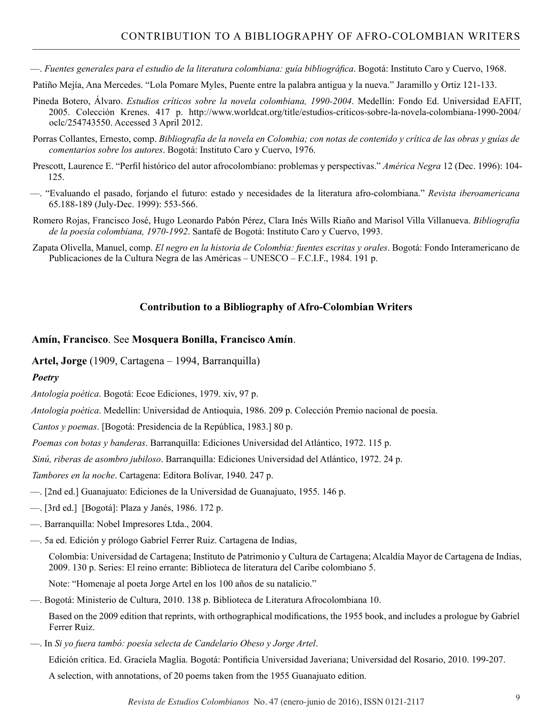—. *Fuentes generales para el estudio de la literatura colombiana: guía bibliográfica*. Bogotá: Instituto Caro y Cuervo, 1968.

Patiño Mejía, Ana Mercedes. "Lola Pomare Myles, Puente entre la palabra antigua y la nueva." Jaramillo y Ortiz 121-133.

- Pineda Botero, Álvaro. *Estudios críticos sobre la novela colombiana, 1990-2004*. Medellín: Fondo Ed. Universidad EAFIT, 2005. Colección Krenes. 417 p. http://www.worldcat.org/title/estudios-criticos-sobre-la-novela-colombiana-1990-2004/ oclc/254743550. Accessed 3 April 2012.
- Porras Collantes, Ernesto, comp. *Bibliografía de la novela en Colombia; con notas de contenido y crítica de las obras y guías de comentarios sobre los autores*. Bogotá: Instituto Caro y Cuervo, 1976.
- Prescott, Laurence E. "Perfil histórico del autor afrocolombiano: problemas y perspectivas." *América Negra* 12 (Dec. 1996): 104- 125.
- —. "Evaluando el pasado, forjando el futuro: estado y necesidades de la literatura afro-colombiana." *Revista iberoamericana* 65.188-189 (July-Dec. 1999): 553-566.
- Romero Rojas, Francisco José, Hugo Leonardo Pabón Pérez, Clara Inés Wills Riaño and Marisol Villa Villanueva. *Bibliografía de la poesía colombiana, 1970-1992*. Santafé de Bogotá: Instituto Caro y Cuervo, 1993.
- Zapata Olivella, Manuel, comp. *El negro en la historia de Colombia: fuentes escritas y orales*. Bogotá: Fondo Interamericano de Publicaciones de la Cultura Negra de las Américas – UNESCO – F.C.I.F., 1984. 191 p.

# **Contribution to a Bibliography of Afro-Colombian Writers**

### **Amín, Francisco**. See **Mosquera Bonilla, Francisco Amín**.

**Artel, Jorge** (1909, Cartagena – 1994, Barranquilla)

# *Poetry*

*Antología poética*. Bogotá: Ecoe Ediciones, 1979. xiv, 97 p.

*Antología poética*. Medellín: Universidad de Antioquia, 1986. 209 p. Colección Premio nacional de poesía.

*Cantos y poemas*. [Bogotá: Presidencia de la República, 1983.] 80 p.

*Poemas con botas y banderas*. Barranquilla: Ediciones Universidad del Atlántico, 1972. 115 p.

*Sinú, riberas de asombro jubiloso*. Barranquilla: Ediciones Universidad del Atlántico, 1972. 24 p.

*Tambores en la noche*. Cartagena: Editora Bolívar, 1940. 247 p.

- —. [2nd ed.] Guanajuato: Ediciones de la Universidad de Guanajuato, 1955. 146 p.
- —. [3rd ed.] [Bogotá]: Plaza y Janés, 1986. 172 p.
- —. Barranquilla: Nobel Impresores Ltda., 2004.
- —. 5a ed. Edición y prólogo Gabriel Ferrer Ruiz. Cartagena de Indias,

Colombia: Universidad de Cartagena; Instituto de Patrimonio y Cultura de Cartagena; Alcaldía Mayor de Cartagena de Indias, 2009. 130 p. Series: El reino errante: Biblioteca de literatura del Caribe colombiano 5.

Note: "Homenaje al poeta Jorge Artel en los 100 años de su natalicio."

—. Bogotá: Ministerio de Cultura, 2010. 138 p. Biblioteca de Literatura Afrocolombiana 10.

Based on the 2009 edition that reprints, with orthographical modifications, the 1955 book, and includes a prologue by Gabriel Ferrer Ruiz.

—. In *Si yo fuera tambó: poesía selecta de Candelario Obeso y Jorge Artel*.

Edición crítica. Ed. Graciela Maglia. Bogotá: Pontificia Universidad Javeriana; Universidad del Rosario, 2010. 199-207.

A selection, with annotations, of 20 poems taken from the 1955 Guanajuato edition.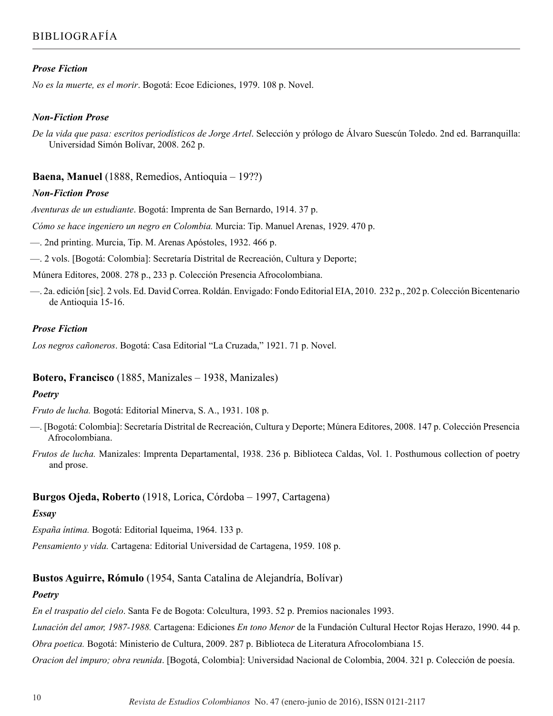### *Prose Fiction*

*No es la muerte, es el morir*. Bogotá: Ecoe Ediciones, 1979. 108 p. Novel.

#### *Non-Fiction Prose*

*De la vida que pasa: escritos periodísticos de Jorge Artel*. Selección y prólogo de Álvaro Suescún Toledo. 2nd ed. Barranquilla: Universidad Simón Bolívar, 2008. 262 p.

#### **Baena, Manuel** (1888, Remedios, Antioquia – 19??)

#### *Non-Fiction Prose*

*Aventuras de un estudiante*. Bogotá: Imprenta de San Bernardo, 1914. 37 p.

*Cómo se hace ingeniero un negro en Colombia.* Murcia: Tip. Manuel Arenas, 1929. 470 p.

—. 2nd printing. Murcia, Tip. M. Arenas Apóstoles, 1932. 466 p.

—. 2 vols. [Bogotá: Colombia]: Secretaría Distrital de Recreación, Cultura y Deporte;

Múnera Editores, 2008. 278 p., 233 p. Colección Presencia Afrocolombiana.

—. 2a. edición [sic]. 2 vols. Ed. David Correa. Roldán. Envigado: Fondo Editorial EIA, 2010. 232 p., 202 p. Colección Bicentenario de Antioquia 15-16.

#### *Prose Fiction*

*Los negros cañoneros*. Bogotá: Casa Editorial "La Cruzada," 1921. 71 p. Novel.

#### **Botero, Francisco** (1885, Manizales – 1938, Manizales)

#### *Poetry*

*Fruto de lucha.* Bogotá: Editorial Minerva, S. A., 1931. 108 p.

—. [Bogotá: Colombia]: Secretaría Distrital de Recreación, Cultura y Deporte; Múnera Editores, 2008. 147 p. Colección Presencia Afrocolombiana.

*Frutos de lucha.* Manizales: Imprenta Departamental, 1938. 236 p. Biblioteca Caldas, Vol. 1. Posthumous collection of poetry and prose.

### **Burgos Ojeda, Roberto** (1918, Lorica, Córdoba – 1997, Cartagena)

#### *Essay*

*España íntima.* Bogotá: Editorial Iqueima, 1964. 133 p.

*Pensamiento y vida.* Cartagena: Editorial Universidad de Cartagena, 1959. 108 p.

# **Bustos Aguirre, Rómulo** (1954, Santa Catalina de Alejandría, Bolívar)

#### *Poetry*

*En el traspatio del cielo*. Santa Fe de Bogota: Colcultura, 1993. 52 p. Premios nacionales 1993.

*Lunación del amor, 1987-1988.* Cartagena: Ediciones *En tono Menor* de la Fundación Cultural Hector Rojas Herazo, 1990. 44 p.

*Obra poetica.* Bogotá: Ministerio de Cultura, 2009. 287 p. Biblioteca de Literatura Afrocolombiana 15.

*Oracion del impuro; obra reunida*. [Bogotá, Colombia]: Universidad Nacional de Colombia, 2004. 321 p. Colección de poesía.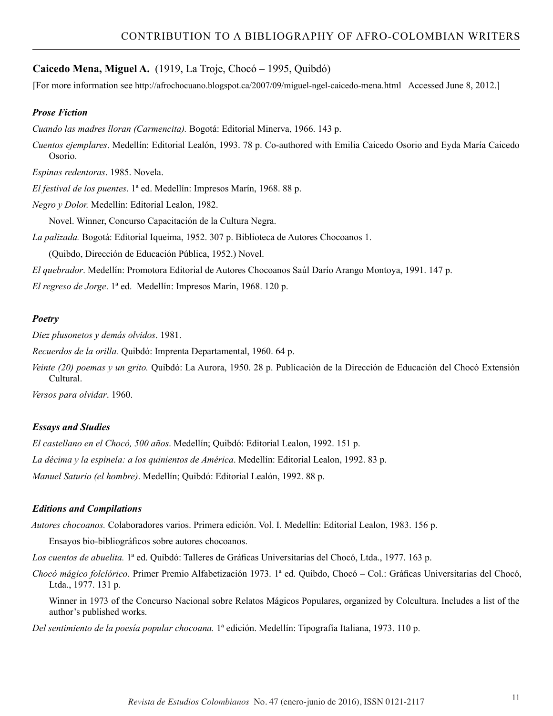### **Caicedo Mena, Miguel A.** (1919, La Troje, Chocó – 1995, Quibdó)

[For more information see http://afrochocuano.blogspot.ca/2007/09/miguel-ngel-caicedo-mena.html Accessed June 8, 2012.]

#### *Prose Fiction*

*Cuando las madres lloran (Carmencita).* Bogotá: Editorial Minerva, 1966. 143 p.

*Cuentos ejemplares*. Medellín: Editorial Lealón, 1993. 78 p. Co-authored with Emilia Caicedo Osorio and Eyda María Caicedo Osorio.

*Espinas redentoras*. 1985. Novela.

*El festival de los puentes*. 1ª ed. Medellín: Impresos Marín, 1968. 88 p.

*Negro y Dolor.* Medellín: Editorial Lealon, 1982.

Novel. Winner, Concurso Capacitación de la Cultura Negra.

*La palizada.* Bogotá: Editorial Iqueima, 1952. 307 p. Biblioteca de Autores Chocoanos 1.

(Quibdo, Dirección de Educación Pública, 1952.) Novel.

*El quebrador*. Medellín: Promotora Editorial de Autores Chocoanos Saúl Darío Arango Montoya, 1991. 147 p.

*El regreso de Jorge*. 1ª ed. Medellín: Impresos Marín, 1968. 120 p.

#### *Poetry*

*Diez plusonetos y demás olvidos*. 1981.

*Recuerdos de la orilla.* Quibdó: Imprenta Departamental, 1960. 64 p.

*Veinte (20) poemas y un grito.* Quibdó: La Aurora, 1950. 28 p. Publicación de la Dirección de Educación del Chocó Extensión Cultural.

*Versos para olvidar*. 1960.

#### *Essays and Studies*

*El castellano en el Chocó, 500 años*. Medellín; Quibdó: Editorial Lealon, 1992. 151 p. *La décima y la espinela: a los quinientos de América*. Medellín: Editorial Lealon, 1992. 83 p. *Manuel Saturio (el hombre)*. Medellín; Quibdó: Editorial Lealón, 1992. 88 p.

#### *Editions and Compilations*

*Autores chocoanos.* Colaboradores varios. Primera edición. Vol. I. Medellín: Editorial Lealon, 1983. 156 p.

Ensayos bio-bibliográficos sobre autores chocoanos.

*Los cuentos de abuelita.* 1ª ed. Quibdó: Talleres de Gráficas Universitarias del Chocó, Ltda., 1977. 163 p.

*Chocó mágico folclórico*. Primer Premio Alfabetización 1973. 1ª ed. Quibdo, Chocó – Col.: Gráficas Universitarias del Chocó, Ltda., 1977. 131 p.

Winner in 1973 of the Concurso Nacional sobre Relatos Mágicos Populares, organized by Colcultura. Includes a list of the author's published works.

*Del sentimiento de la poesía popular chocoana.* 1ª edición. Medellín: Tipografía Italiana, 1973. 110 p.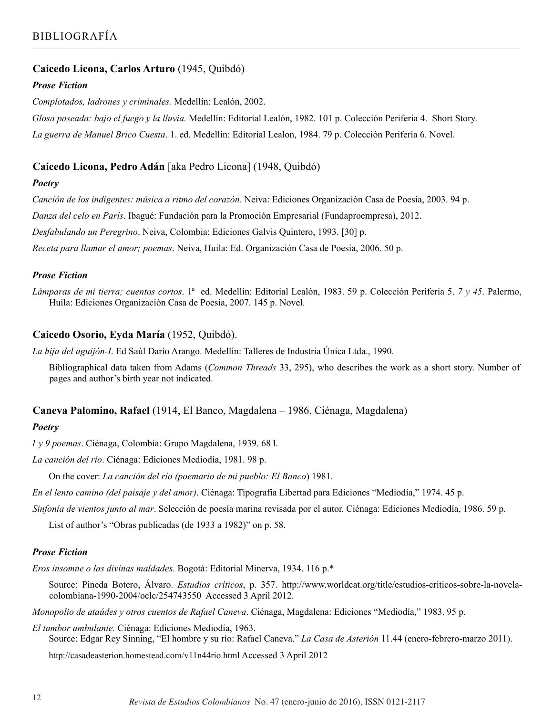# **Caicedo Licona, Carlos Arturo** (1945, Quibdó)

### *Prose Fiction*

*Complotados, ladrones y criminales.* Medellín: Lealón, 2002.

*Glosa paseada: bajo el fuego y la lluvia.* Medellín: Editorial Lealón, 1982. 101 p. Colección Periferia 4. Short Story. *La guerra de Manuel Brico Cuesta*. 1. ed. Medellín: Editorial Lealon, 1984. 79 p. Colección Periferia 6. Novel.

# **Caicedo Licona, Pedro Adán** [aka Pedro Licona] (1948, Quibdó)

### *Poetry*

*Canción de los indigentes: música a ritmo del corazón*. Neiva: Ediciones Organización Casa de Poesía, 2003. 94 p.

*Danza del celo en París*. Ibagué: Fundación para la Promoción Empresarial (Fundaproempresa), 2012.

*Desfabulando un Peregrino*. Neiva, Colombia: Ediciones Galvis Quintero, 1993. [30] p.

*Receta para llamar el amor; poemas*. Neiva, Huila: Ed. Organización Casa de Poesía, 2006. 50 p.

### *Prose Fiction*

*Lámparas de mi tierra; cuentos cortos*. 1ª ed. Medellín: Editorial Lealón, 1983. 59 p. Colección Periferia 5. *7 y 45*. Palermo, Huila: Ediciones Organización Casa de Poesía, 2007. 145 p. Novel.

# **Caicedo Osorio, Eyda María** (1952, Quibdó).

*La hija del aguijón-I*. Ed Saúl Darío Arango. Medellín: Talleres de Industria Única Ltda., 1990.

Bibliographical data taken from Adams (*Common Threads* 33, 295), who describes the work as a short story. Number of pages and author's birth year not indicated.

### **Caneva Palomino, Rafael** (1914, El Banco, Magdalena – 1986, Ciénaga, Magdalena)

# *Poetry*

*1 y 9 poemas*. Ciénaga, Colombia: Grupo Magdalena, 1939. 68 l.

*La canción del río*. Ciénaga: Ediciones Mediodía, 1981. 98 p.

On the cover: *La canción del río (poemario de mi pueblo: El Banco*) 1981.

*En el lento camino (del paisaje y del amor)*. Ciénaga: Tipografía Libertad para Ediciones "Mediodía," 1974. 45 p.

*Sinfonía de vientos junto al mar*. Selección de poesía marina revisada por el autor. Ciénaga: Ediciones Mediodía, 1986. 59 p.

List of author's "Obras publicadas (de 1933 a 1982)" on p. 58.

### *Prose Fiction*

*Eros insomne o las divinas maldades*. Bogotá: Editorial Minerva, 1934. 116 p.\*

Source: Pineda Botero, Álvaro. *Estudios críticos*, p. 357. http://www.worldcat.org/title/estudios-criticos-sobre-la-novelacolombiana-1990-2004/oclc/254743550 Accessed 3 April 2012.

*Monopolio de ataúdes y otros cuentos de Rafael Caneva*. Ciénaga, Magdalena: Ediciones "Mediodía," 1983. 95 p.

*El tambor ambulante.* Ciénaga: Ediciones Mediodía, 1963.

Source: Edgar Rey Sinning, "El hombre y su río: Rafael Caneva." *La Casa de Asterión* 11.44 (enero-febrero-marzo 2011).

http://casadeasterion.homestead.com/v11n44rio.html Accessed 3 April 2012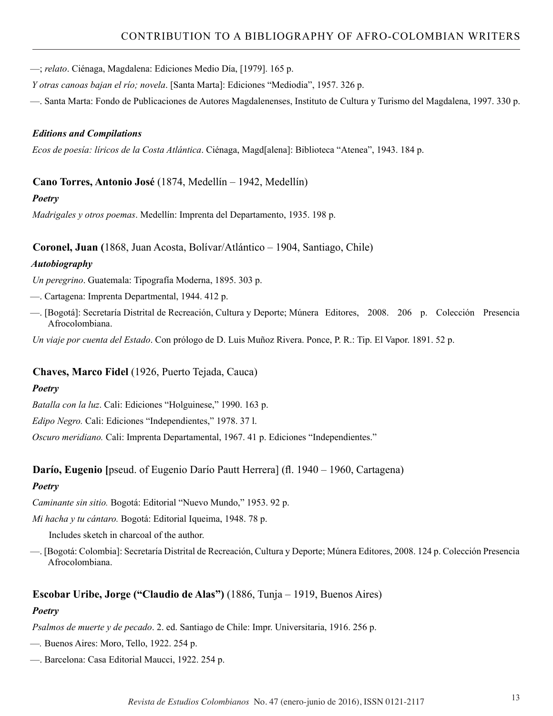—; *relato*. Ciénaga, Magdalena: Ediciones Medio Día, [1979]. 165 p.

*Y otras canoas bajan el río; novela*. [Santa Marta]: Ediciones "Mediodia", 1957. 326 p.

—. Santa Marta: Fondo de Publicaciones de Autores Magdalenenses, Instituto de Cultura y Turismo del Magdalena, 1997. 330 p.

#### *Editions and Compilations*

*Ecos de poesía: líricos de la Costa Atlántica*. Ciénaga, Magd[alena]: Biblioteca "Atenea", 1943. 184 p.

#### **Cano Torres, Antonio José** (1874, Medellín – 1942, Medellín)

#### *Poetry*

*Madrigales y otros poemas*. Medellín: Imprenta del Departamento, 1935. 198 p.

#### **Coronel, Juan (**1868, Juan Acosta, Bolívar/Atlántico – 1904, Santiago, Chile)

#### *Autobiography*

*Un peregrino*. Guatemala: Tipografía Moderna, 1895. 303 p.

- —. Cartagena: Imprenta Departmental, 1944. 412 p.
- —. [Bogotá]: Secretaría Distrital de Recreación, Cultura y Deporte; Múnera Editores, 2008. 206 p. Colección Presencia Afrocolombiana.

*Un viaje por cuenta del Estado*. Con prólogo de D. Luis Muñoz Rivera. Ponce, P. R.: Tip. El Vapor. 1891. 52 p.

### **Chaves, Marco Fidel** (1926, Puerto Tejada, Cauca)

#### *Poetry*

*Batalla con la luz*. Cali: Ediciones "Holguinese," 1990. 163 p.

*Edipo Negro.* Cali: Ediciones "Independientes," 1978. 37 l.

*Oscuro meridiano.* Cali: Imprenta Departamental, 1967. 41 p. Ediciones "Independientes."

#### **Darío, Eugenio [**pseud. of Eugenio Darío Pautt Herrera] (fl. 1940 – 1960, Cartagena)

#### *Poetry*

*Caminante sin sitio.* Bogotá: Editorial "Nuevo Mundo," 1953. 92 p.

*Mi hacha y tu cántaro.* Bogotá: Editorial Iqueima, 1948. 78 p.

Includes sketch in charcoal of the author.

—. [Bogotá: Colombia]: Secretaría Distrital de Recreación, Cultura y Deporte; Múnera Editores, 2008. 124 p. Colección Presencia Afrocolombiana.

#### **Escobar Uribe, Jorge ("Claudio de Alas")** (1886, Tunja – 1919, Buenos Aires)

#### *Poetry*

*Psalmos de muerte y de pecado*. 2. ed. Santiago de Chile: Impr. Universitaria, 1916. 256 p.

- —*.* Buenos Aires: Moro, Tello, 1922. 254 p.
- —. Barcelona: Casa Editorial Maucci, 1922. 254 p.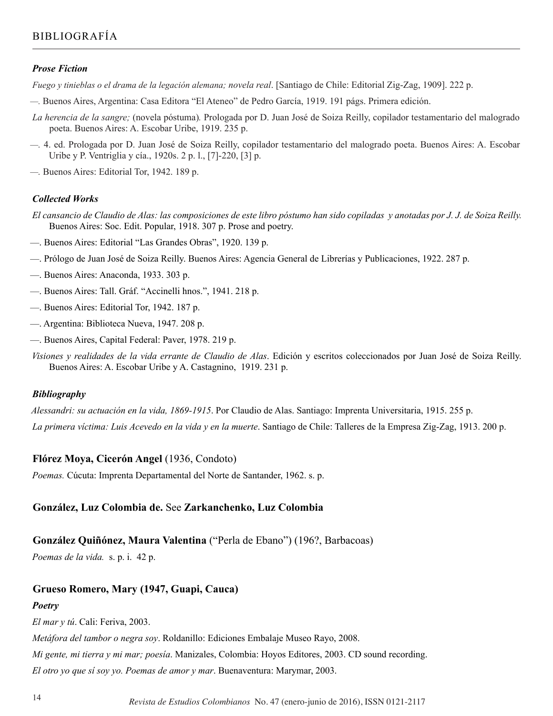#### *Prose Fiction*

*Fuego y tinieblas o el drama de la legación alemana; novela real*. [Santiago de Chile: Editorial Zig-Zag, 1909]. 222 p.

- *—.* Buenos Aires, Argentina: Casa Editora "El Ateneo" de Pedro García, 1919. 191 págs. Primera edición.
- *La herencia de la sangre;* (novela póstuma)*.* Prologada por D. Juan José de Soiza Reilly, copilador testamentario del malogrado poeta. Buenos Aires: A. Escobar Uribe, 1919. 235 p.
- *—.* 4. ed. Prologada por D. Juan José de Soiza Reilly, copilador testamentario del malogrado poeta. Buenos Aires: A. Escobar Uribe y P. Ventriglia y cía., 1920s. 2 p. l., [7]-220, [3] p.

*—.* Buenos Aires: Editorial Tor, 1942. 189 p.

### *Collected Works*

- *El cansancio de Claudio de Alas: las composiciones de este libro póstumo han sido copiladas y anotadas por J. J. de Soiza Reilly.* Buenos Aires: Soc. Edit. Popular, 1918. 307 p. Prose and poetry.
- —. Buenos Aires: Editorial "Las Grandes Obras", 1920. 139 p.
- —. Prólogo de Juan José de Soiza Reilly. Buenos Aires: Agencia General de Librerías y Publicaciones, 1922. 287 p.
- —. Buenos Aires: Anaconda, 1933. 303 p.
- —. Buenos Aires: Tall. Gráf. "Accinelli hnos.", 1941. 218 p.
- —. Buenos Aires: Editorial Tor, 1942. 187 p.
- —. Argentina: Biblioteca Nueva, 1947. 208 p.
- —. Buenos Aires, Capital Federal: Paver, 1978. 219 p.
- *Visiones y realidades de la vida errante de Claudio de Alas*. Edición y escritos coleccionados por Juan José de Soiza Reilly. Buenos Aires: A. Escobar Uribe y A. Castagnino, 1919. 231 p.

#### *Bibliography*

*Alessandri: su actuación en la vida, 1869-1915*. Por Claudio de Alas. Santiago: Imprenta Universitaria, 1915. 255 p. *La primera víctima: Luis Acevedo en la vida y en la muerte*. Santiago de Chile: Talleres de la Empresa Zig-Zag, 1913. 200 p.

#### **Flórez Moya, Cicerón Angel** (1936, Condoto)

*Poemas.* Cúcuta: Imprenta Departamental del Norte de Santander, 1962. s. p.

#### **González, Luz Colombia de.** See **Zarkanchenko, Luz Colombia**

# **González Quiñónez, Maura Valentina** ("Perla de Ebano") (196?, Barbacoas)

*Poemas de la vida.* s. p. i. 42 p.

# **Grueso Romero, Mary (1947, Guapi, Cauca)**

#### *Poetry*

*El mar y tú*. Cali: Feriva, 2003.

*Metáfora del tambor o negra soy*. Roldanillo: Ediciones Embalaje Museo Rayo, 2008.

*Mi gente, mi tierra y mi mar; poesía*. Manizales, Colombia: Hoyos Editores, 2003. CD sound recording.

*El otro yo que sí soy yo. Poemas de amor y mar*. Buenaventura: Marymar, 2003.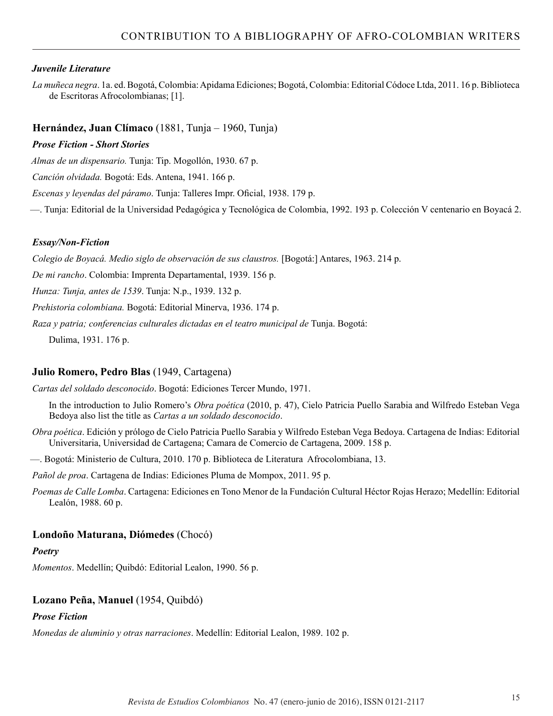### *Juvenile Literature*

*La muñeca negra*. 1a. ed. Bogotá, Colombia: Apidama Ediciones; Bogotá, Colombia: Editorial Códoce Ltda, 2011. 16 p. Biblioteca de Escritoras Afrocolombianas; [1].

### **Hernández, Juan Clímaco** (1881, Tunja – 1960, Tunja)

#### *Prose Fiction - Short Stories*

*Almas de un dispensario.* Tunja: Tip. Mogollón, 1930. 67 p.

*Canción olvidada.* Bogotá: Eds. Antena, 1941. 166 p.

*Escenas y leyendas del páramo*. Tunja: Talleres Impr. Oficial, 1938. 179 p.

—. Tunja: Editorial de la Universidad Pedagógica y Tecnológica de Colombia, 1992. 193 p. Colección V centenario en Boyacá 2.

### *Essay/Non-Fiction*

*Colegio de Boyacá. Medio siglo de observación de sus claustros.* [Bogotá:] Antares, 1963. 214 p.

*De mi rancho*. Colombia: Imprenta Departamental, 1939. 156 p.

*Hunza: Tunja, antes de 1539*. Tunja: N.p., 1939. 132 p.

*Prehistoria colombiana.* Bogotá: Editorial Minerva, 1936. 174 p.

*Raza y patria; conferencias culturales dictadas en el teatro municipal de* Tunja. Bogotá:

Dulima, 1931. 176 p.

### **Julio Romero, Pedro Blas** (1949, Cartagena)

*Cartas del soldado desconocido*. Bogotá: Ediciones Tercer Mundo, 1971.

In the introduction to Julio Romero's *Obra poética* (2010, p. 47), Cielo Patricia Puello Sarabia and Wilfredo Esteban Vega Bedoya also list the title as *Cartas a un soldado desconocido*.

*Obra poética*. Edición y prólogo de Cielo Patricia Puello Sarabia y Wilfredo Esteban Vega Bedoya. Cartagena de Indias: Editorial Universitaria, Universidad de Cartagena; Camara de Comercio de Cartagena, 2009. 158 p.

—. Bogotá: Ministerio de Cultura, 2010. 170 p. Biblioteca de Literatura Afrocolombiana, 13.

*Pañol de proa*. Cartagena de Indias: Ediciones Pluma de Mompox, 2011. 95 p.

*Poemas de Calle Lomba*. Cartagena: Ediciones en Tono Menor de la Fundación Cultural Héctor Rojas Herazo; Medellín: Editorial Lealón, 1988. 60 p.

# **Londoño Maturana, Diómedes** (Chocó)

### *Poetry*

*Momentos*. Medellín; Quibdó: Editorial Lealon, 1990. 56 p.

# **Lozano Peña, Manuel** (1954, Quibdó)

### *Prose Fiction*

*Monedas de aluminio y otras narraciones*. Medellín: Editorial Lealon, 1989. 102 p.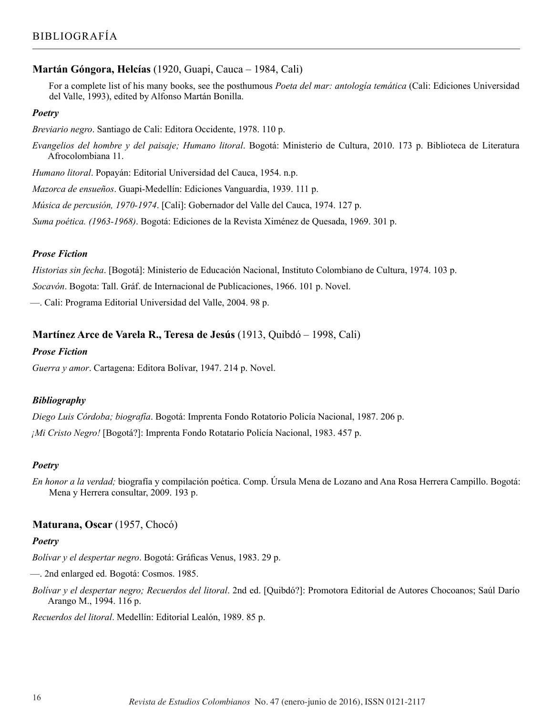### **Martán Góngora, Helcías** (1920, Guapi, Cauca – 1984, Cali)

For a complete list of his many books, see the posthumous *Poeta del mar: antología temática* (Cali: Ediciones Universidad del Valle, 1993), edited by Alfonso Martán Bonilla.

#### *Poetry*

*Breviario negro*. Santiago de Cali: Editora Occidente, 1978. 110 p.

*Evangelios del hombre y del paisaje; Humano litoral*. Bogotá: Ministerio de Cultura, 2010. 173 p. Biblioteca de Literatura Afrocolombiana 11.

*Humano litoral*. Popayán: Editorial Universidad del Cauca, 1954. n.p.

*Mazorca de ensueños*. Guapi-Medellín: Ediciones Vanguardia, 1939. 111 p.

*Música de percusión, 1970-1974*. [Cali]: Gobernador del Valle del Cauca, 1974. 127 p.

*Suma poética. (1963-1968)*. Bogotá: Ediciones de la Revista Ximénez de Quesada, 1969. 301 p.

#### *Prose Fiction*

*Historias sin fecha*. [Bogotá]: Ministerio de Educación Nacional, Instituto Colombiano de Cultura, 1974. 103 p.

*Socavón*. Bogota: Tall. Gráf. de Internacional de Publicaciones, 1966. 101 p. Novel.

—. Cali: Programa Editorial Universidad del Valle, 2004. 98 p.

#### **Martínez Arce de Varela R., Teresa de Jesús** (1913, Quibdó – 1998, Cali)

#### *Prose Fiction*

*Guerra y amor*. Cartagena: Editora Bolívar, 1947. 214 p. Novel.

#### *Bibliography*

*Diego Luis Córdoba; biografía*. Bogotá: Imprenta Fondo Rotatorio Policía Nacional, 1987. 206 p. *¡Mi Cristo Negro!* [Bogotá?]: Imprenta Fondo Rotatario Policía Nacional, 1983. 457 p.

#### *Poetry*

*En honor a la verdad;* biografía y compilación poética. Comp. Úrsula Mena de Lozano and Ana Rosa Herrera Campillo. Bogotá: Mena y Herrera consultar, 2009. 193 p.

#### **Maturana, Oscar** (1957, Chocó)

#### *Poetry*

*Bolívar y el despertar negro*. Bogotá: Gráficas Venus, 1983. 29 p.

—. 2nd enlarged ed. Bogotá: Cosmos. 1985.

*Bolívar y el despertar negro; Recuerdos del litoral*. 2nd ed. [Quibdó?]: Promotora Editorial de Autores Chocoanos; Saúl Darío Arango M., 1994. 116 p.

*Recuerdos del litoral*. Medellín: Editorial Lealón, 1989. 85 p.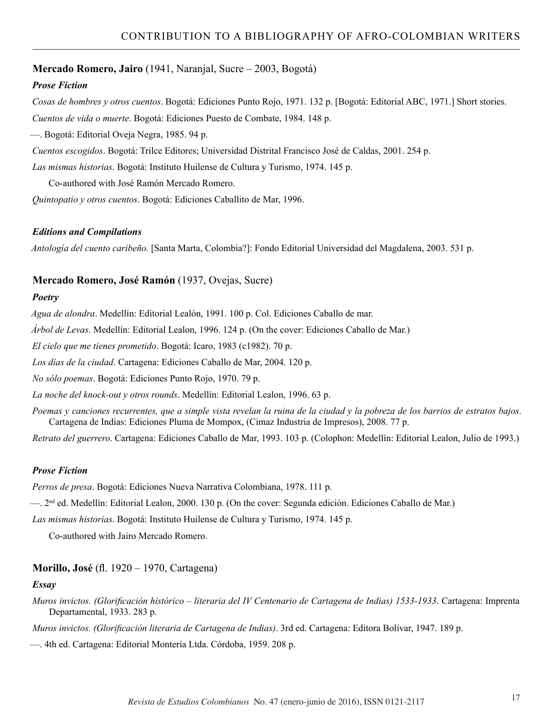### **Mercado Romero, Jairo** (1941, Naranjal, Sucre – 2003, Bogotá)

### *Prose Fiction*

*Cosas de hombres y otros cuentos*. Bogotá: Ediciones Punto Rojo, 1971. 132 p. [Bogotá: Editorial ABC, 1971.] Short stories. *Cuentos de vida o muerte*. Bogotá: Ediciones Puesto de Combate, 1984. 148 p.

—. Bogotá: Editorial Oveja Negra, 1985. 94 p.

*Cuentos escogidos*. Bogotá: Trilce Editores; Universidad Distrital Francisco José de Caldas, 2001. 254 p.

*Las mismas historias*. Bogotá: Instituto Huilense de Cultura y Turismo, 1974. 145 p.

Co-authored with José Ramón Mercado Romero.

*Quintopatio y otros cuentos*. Bogotá: Ediciones Caballito de Mar, 1996.

#### *Editions and Compilations*

*Antología del cuento caribeño.* [Santa Marta, Colombia?]: Fondo Editorial Universidad del Magdalena, 2003. 531 p.

### **Mercado Romero, José Ramón** (1937, Ovejas, Sucre)

#### *Poetry*

*Agua de alondra*. Medellín: Editorial Lealón, 1991. 100 p. Col. Ediciones Caballo de mar.

*Árbol de Levas*. Medellín: Editorial Lealon, 1996. 124 p. (On the cover: Ediciones Caballo de Mar.)

*El cielo que me tienes prometido*. Bogotá: Icaro, 1983 (c1982). 70 p.

*Los días de la ciudad*. Cartagena: Ediciones Caballo de Mar, 2004. 120 p.

*No sólo poemas*. Bogotá: Ediciones Punto Rojo, 1970. 79 p.

*La noche del knock-out y otros rounds*. Medellín: Editorial Lealon, 1996. 63 p.

*Poemas y canciones recurrentes, que a simple vista revelan la ruina de la ciudad y la pobreza de los barrios de estratos bajos*. Cartagena de Indias: Ediciones Pluma de Mompox, (Cimaz Industria de Impresos), 2008. 77 p.

*Retrato del guerrero*. Cartagena: Ediciones Caballo de Mar, 1993. 103 p. (Colophon: Medellín: Editorial Lealon, Julio de 1993.)

### *Prose Fiction*

*Perros de presa*. Bogotá: Ediciones Nueva Narrativa Colombiana, 1978. 111 p.

—. 2nd ed. Medellín: Editorial Lealon, 2000. 130 p. (On the cover: Segunda edición. Ediciones Caballo de Mar.)

*Las mismas historias*. Bogotá: Instituto Huilense de Cultura y Turismo, 1974. 145 p.

Co-authored with Jairo Mercado Romero.

# **Morillo, José** (fl. 1920 – 1970, Cartagena)

#### *Essay*

*Muros invictos. (Glorificación histórico – literaria del IV Centenario de Cartagena de Indias) 1533-1933*. Cartagena: Imprenta Departamental, 1933. 283 p.

*Muros invictos. (Glorificación literaria de Cartagena de Indias)*. 3rd ed. Cartagena: Editora Bolívar, 1947. 189 p.

—. 4th ed. Cartagena: Editorial Montería Ltda. Córdoba, 1959. 208 p.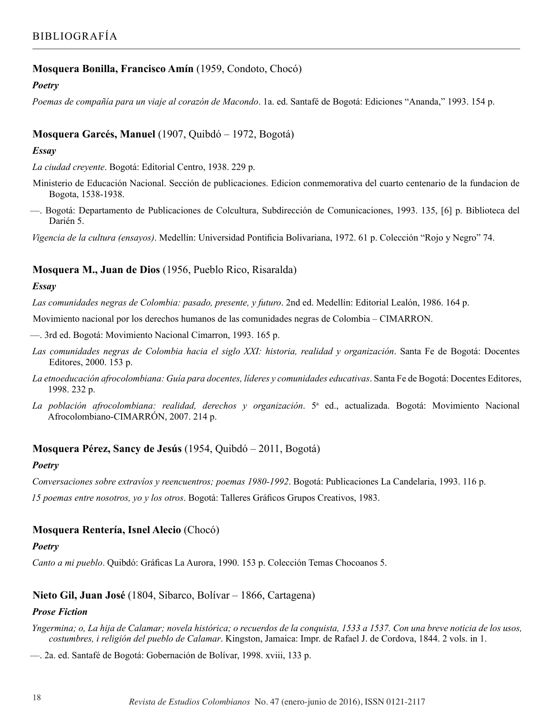# **Mosquera Bonilla, Francisco Amín** (1959, Condoto, Chocó)

### *Poetry*

*Poemas de compañía para un viaje al corazón de Macondo*. 1a. ed. Santafé de Bogotá: Ediciones "Ananda," 1993. 154 p.

# **Mosquera Garcés, Manuel** (1907, Quibdó – 1972, Bogotá)

### *Essay*

*La ciudad creyente*. Bogotá: Editorial Centro, 1938. 229 p.

- Ministerio de Educación Nacional. Sección de publicaciones. Edicion conmemorativa del cuarto centenario de la fundacion de Bogota, 1538-1938.
- —. Bogotá: Departamento de Publicaciones de Colcultura, Subdirección de Comunicaciones, 1993. 135, [6] p. Biblioteca del Darién 5.

*Vigencia de la cultura (ensayos)*. Medellín: Universidad Pontificia Bolivariana, 1972. 61 p. Colección "Rojo y Negro" 74.

# **Mosquera M., Juan de Dios** (1956, Pueblo Rico, Risaralda)

### *Essay*

*Las comunidades negras de Colombia: pasado, presente, y futuro*. 2nd ed. Medellín: Editorial Lealón, 1986. 164 p.

Movimiento nacional por los derechos humanos de las comunidades negras de Colombia – CIMARRON.

—. 3rd ed. Bogotá: Movimiento Nacional Cimarron, 1993. 165 p.

- *Las comunidades negras de Colombia hacia el siglo XXI: historia, realidad y organización*. Santa Fe de Bogotá: Docentes Editores, 2000. 153 p.
- *La etnoeducación afrocolombiana: Guía para docentes, líderes y comunidades educativas*. Santa Fe de Bogotá: Docentes Editores, 1998. 232 p.
- La población afrocolombiana: realidad, derechos y organización. 5<sup>a</sup> ed., actualizada. Bogotá: Movimiento Nacional Afrocolombiano-CIMARRÓN, 2007. 214 p.

# **Mosquera Pérez, Sancy de Jesús** (1954, Quibdó – 2011, Bogotá)

# *Poetry*

*Conversaciones sobre extravíos y reencuentros; poemas 1980-1992*. Bogotá: Publicaciones La Candelaria, 1993. 116 p.

*15 poemas entre nosotros, yo y los otros*. Bogotá: Talleres Gráficos Grupos Creativos, 1983.

# **Mosquera Rentería, Isnel Alecio** (Chocó)

# *Poetry*

*Canto a mi pueblo*. Quibdó: Gráficas La Aurora, 1990. 153 p. Colección Temas Chocoanos 5.

# **Nieto Gil, Juan José** (1804, Sibarco, Bolívar – 1866, Cartagena)

# *Prose Fiction*

*Yngermina; o, La hija de Calamar; novela histórica; o recuerdos de la conquista, 1533 a 1537. Con una breve noticia de los usos, costumbres, i religión del pueblo de Calamar*. Kingston, Jamaica: Impr. de Rafael J. de Cordova, 1844. 2 vols. in 1.

—. 2a. ed. Santafé de Bogotá: Gobernación de Bolívar, 1998. xviii, 133 p.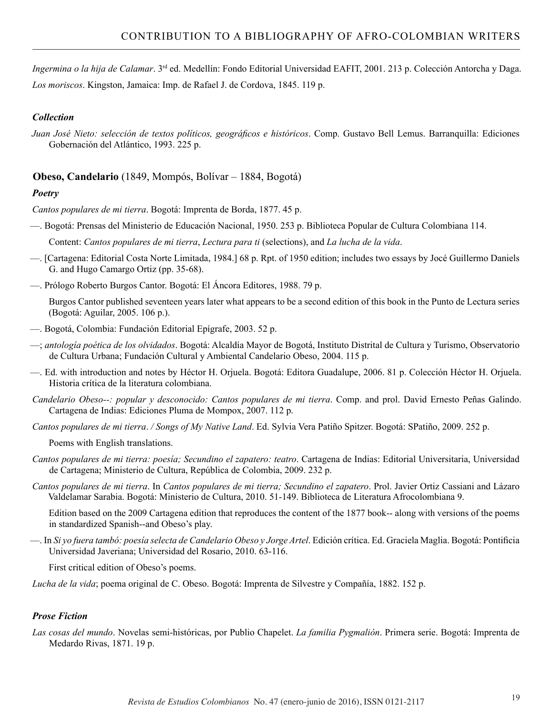*Ingermina o la hija de Calamar*. 3rd ed. Medellín: Fondo Editorial Universidad EAFIT, 2001. 213 p. Colección Antorcha y Daga. *Los moriscos*. Kingston, Jamaica: Imp. de Rafael J. de Cordova, 1845. 119 p.

# *Collection*

*Juan José Nieto: selección de textos políticos, geográficos e históricos*. Comp. Gustavo Bell Lemus. Barranquilla: Ediciones Gobernación del Atlántico, 1993. 225 p.

# **Obeso, Candelario** (1849, Mompós, Bolívar – 1884, Bogotá)

# *Poetry*

*Cantos populares de mi tierra*. Bogotá: Imprenta de Borda, 1877. 45 p.

—. Bogotá: Prensas del Ministerio de Educación Nacional, 1950. 253 p. Biblioteca Popular de Cultura Colombiana 114.

Content: *Cantos populares de mi tierra*, *Lectura para ti* (selections), and *La lucha de la vida*.

- —. [Cartagena: Editorial Costa Norte Limitada, 1984.] 68 p. Rpt. of 1950 edition; includes two essays by Jocé Guillermo Daniels G. and Hugo Camargo Ortiz (pp. 35-68).
- —. Prólogo Roberto Burgos Cantor. Bogotá: El Áncora Editores, 1988. 79 p.

Burgos Cantor published seventeen years later what appears to be a second edition of this book in the Punto de Lectura series (Bogotá: Aguilar, 2005. 106 p.).

- —. Bogotá, Colombia: Fundación Editorial Epígrafe, 2003. 52 p.
- —; *antología poética de los olvidados*. Bogotá: Alcaldía Mayor de Bogotá, Instituto Distrital de Cultura y Turismo, Observatorio de Cultura Urbana; Fundación Cultural y Ambiental Candelario Obeso, 2004. 115 p.
- —. Ed. with introduction and notes by Héctor H. Orjuela. Bogotá: Editora Guadalupe, 2006. 81 p. Colección Héctor H. Orjuela. Historia crítica de la literatura colombiana.
- *Candelario Obeso--: popular y desconocido: Cantos populares de mi tierra*. Comp. and prol. David Ernesto Peñas Galindo. Cartagena de Indias: Ediciones Pluma de Mompox, 2007. 112 p.

*Cantos populares de mi tierra*. */ Songs of My Native Land*. Ed. Sylvia Vera Patiño Spitzer. Bogotá: SPatiño, 2009. 252 p.

Poems with English translations.

- *Cantos populares de mi tierra: poesía; Secundino el zapatero: teatro*. Cartagena de Indias: Editorial Universitaria, Universidad de Cartagena; Ministerio de Cultura, República de Colombia, 2009. 232 p.
- *Cantos populares de mi tierra*. In *Cantos populares de mi tierra; Secundino el zapatero*. Prol. Javier Ortiz Cassiani and Lázaro Valdelamar Sarabia. Bogotá: Ministerio de Cultura, 2010. 51-149. Biblioteca de Literatura Afrocolombiana 9.

Edition based on the 2009 Cartagena edition that reproduces the content of the 1877 book-- along with versions of the poems in standardized Spanish--and Obeso's play.

—. In *Si yo fuera tambó: poesía selecta de Candelario Obeso y Jorge Artel*. Edición crítica. Ed. Graciela Maglia. Bogotá: Pontificia Universidad Javeriana; Universidad del Rosario, 2010. 63-116.

First critical edition of Obeso's poems.

*Lucha de la vida*; poema original de C. Obeso. Bogotá: Imprenta de Silvestre y Compañía, 1882. 152 p.

# *Prose Fiction*

*Las cosas del mundo*. Novelas semi-históricas, por Publio Chapelet. *La familia Pygmalión*. Primera serie. Bogotá: Imprenta de Medardo Rivas, 1871. 19 p.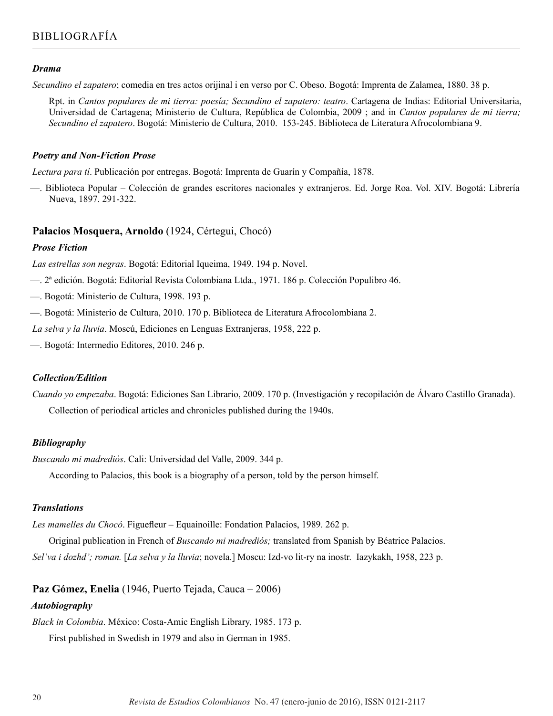#### *Drama*

*Secundino el zapatero*; comedia en tres actos orijinal i en verso por C. Obeso. Bogotá: Imprenta de Zalamea, 1880. 38 p.

Rpt. in *Cantos populares de mi tierra: poesía; Secundino el zapatero: teatro*. Cartagena de Indias: Editorial Universitaria, Universidad de Cartagena; Ministerio de Cultura, República de Colombia, 2009 ; and in *Cantos populares de mi tierra; Secundino el zapatero*. Bogotá: Ministerio de Cultura, 2010. 153-245. Biblioteca de Literatura Afrocolombiana 9.

#### *Poetry and Non-Fiction Prose*

*Lectura para tí*. Publicación por entregas. Bogotá: Imprenta de Guarín y Compañía, 1878.

—. Biblioteca Popular – Colección de grandes escritores nacionales y extranjeros. Ed. Jorge Roa. Vol. XIV. Bogotá: Librería Nueva, 1897. 291-322.

### **Palacios Mosquera, Arnoldo** (1924, Cértegui, Chocó)

#### *Prose Fiction*

*Las estrellas son negras*. Bogotá: Editorial Iqueima, 1949. 194 p. Novel.

- —. 2ª edición. Bogotá: Editorial Revista Colombiana Ltda., 1971. 186 p. Colección Populibro 46.
- —. Bogotá: Ministerio de Cultura, 1998. 193 p.
- —. Bogotá: Ministerio de Cultura, 2010. 170 p. Biblioteca de Literatura Afrocolombiana 2.

*La selva y la lluvia*. Moscú, Ediciones en Lenguas Extranjeras, 1958, 222 p.

—. Bogotá: Intermedio Editores, 2010. 246 p.

### *Collection/Edition*

*Cuando yo empezaba*. Bogotá: Ediciones San Librario, 2009. 170 p. (Investigación y recopilación de Álvaro Castillo Granada). Collection of periodical articles and chronicles published during the 1940s.

### *Bibliography*

*Buscando mi madrediós*. Cali: Universidad del Valle, 2009. 344 p.

According to Palacios, this book is a biography of a person, told by the person himself.

### *Translations*

*Les mamelles du Chocó*. Figuefleur – Equainoille: Fondation Palacios, 1989. 262 p.

Original publication in French of *Buscando mi madrediós;* translated from Spanish by Béatrice Palacios. *Sel'va i dozhd'; roman.* [*La selva y la lluvia*; novela.] Moscu: Izd-vo lit-ry na inostr. Iazykakh, 1958, 223 p.

**Paz Gómez, Enelia** (1946, Puerto Tejada, Cauca – 2006)

# *Autobiography*

*Black in Colombia*. México: Costa-Amic English Library, 1985. 173 p.

First published in Swedish in 1979 and also in German in 1985.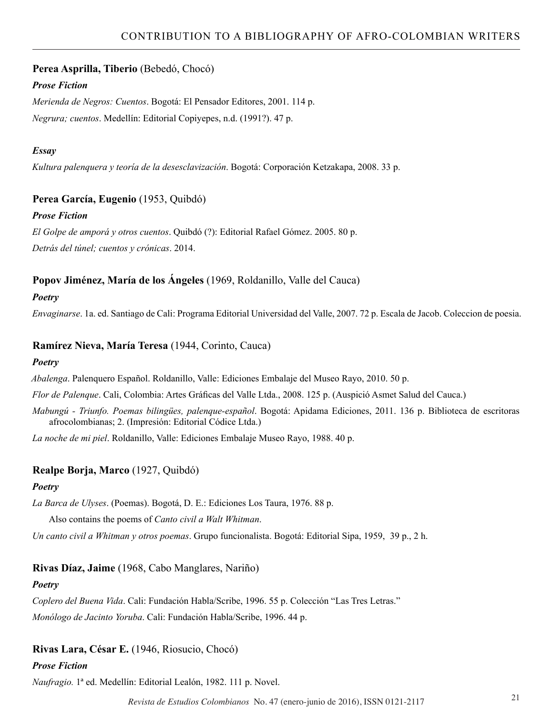# **Perea Asprilla, Tiberio** (Bebedó, Chocó)

# *Prose Fiction*

*Merienda de Negros: Cuentos*. Bogotá: El Pensador Editores, 2001. 114 p. *Negrura; cuentos*. Medellín: Editorial Copiyepes, n.d. (1991?). 47 p.

# *Essay*

*Kultura palenquera y teoría de la desesclavización*. Bogotá: Corporación Ketzakapa, 2008. 33 p.

# **Perea García, Eugenio** (1953, Quibdó)

### *Prose Fiction*

*El Golpe de amporá y otros cuentos*. Quibdó (?): Editorial Rafael Gómez. 2005. 80 p. *Detrás del túnel; cuentos y crónicas*. 2014.

# **Popov Jiménez, María de los Ángeles** (1969, Roldanillo, Valle del Cauca)

### *Poetry*

*Envaginarse*. 1a. ed. Santiago de Cali: Programa Editorial Universidad del Valle, 2007. 72 p. Escala de Jacob. Coleccion de poesia.

# **Ramírez Nieva, María Teresa** (1944, Corinto, Cauca)

### *Poetry*

*Abalenga*. Palenquero Español. Roldanillo, Valle: Ediciones Embalaje del Museo Rayo, 2010. 50 p.

*Flor de Palenque*. Cali, Colombia: Artes Gráficas del Valle Ltda., 2008. 125 p. (Auspició Asmet Salud del Cauca.)

*Mabungú - Triunfo. Poemas bilingües, palenque-español*. Bogotá: Apidama Ediciones, 2011. 136 p. Biblioteca de escritoras afrocolombianas; 2. (Impresión: Editorial Códice Ltda.)

*La noche de mi piel*. Roldanillo, Valle: Ediciones Embalaje Museo Rayo, 1988. 40 p.

# **Realpe Borja, Marco** (1927, Quibdó)

# *Poetry*

*La Barca de Ulyses*. (Poemas). Bogotá, D. E.: Ediciones Los Taura, 1976. 88 p.

Also contains the poems of *Canto civil a Walt Whitman*.

*Un canto civil a Whitman y otros poemas*. Grupo funcionalista. Bogotá: Editorial Sipa, 1959, 39 p., 2 h.

# **Rivas Díaz, Jaime** (1968, Cabo Manglares, Nariño)

# *Poetry*

*Coplero del Buena Vida*. Cali: Fundación Habla/Scribe, 1996. 55 p. Colección "Las Tres Letras."

*Monólogo de Jacinto Yoruba*. Cali: Fundación Habla/Scribe, 1996. 44 p.

# **Rivas Lara, César E.** (1946, Riosucio, Chocó)

# *Prose Fiction*

*Naufragio.* 1ª ed. Medellín: Editorial Lealón, 1982. 111 p. Novel.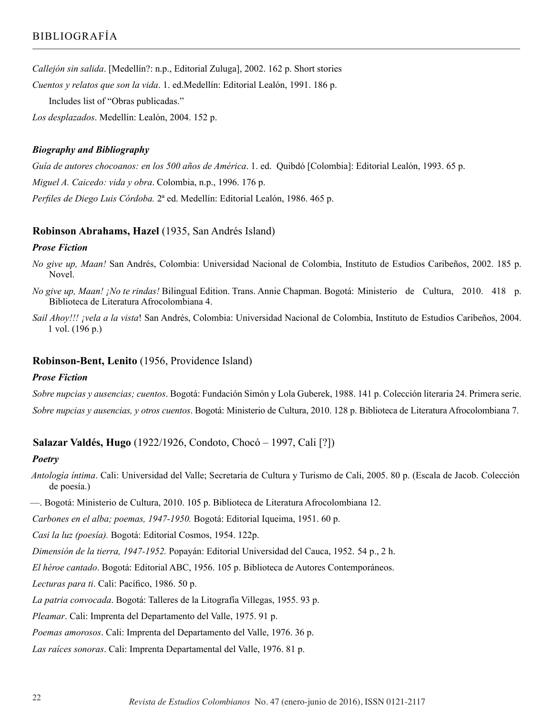*Callejón sin salida*. [Medellín?: n.p., Editorial Zuluga], 2002. 162 p. Short stories

*Cuentos y relatos que son la vida*. 1. ed.Medellín: Editorial Lealón, 1991. 186 p.

Includes list of "Obras publicadas."

*Los desplazados*. Medellín: Lealón, 2004. 152 p.

### *Biography and Bibliography*

*Guía de autores chocoanos: en los 500 años de América*. 1. ed. Quibdó [Colombia]: Editorial Lealón, 1993. 65 p. *Miguel A. Caicedo: vida y obra*. Colombia, n.p., 1996. 176 p. *Perfiles de Diego Luis Córdoba.* 2ª ed. Medellín: Editorial Lealón, 1986. 465 p.

### **Robinson Abrahams, Hazel** (1935, San Andrés Island)

#### *Prose Fiction*

- *No give up, Maan!* San Andrés, Colombia: Universidad Nacional de Colombia, Instituto de Estudios Caribeños, 2002. 185 p. Novel.
- *No give up, Maan! ¡No te rindas!* Bilingual Edition. Trans. Annie Chapman. Bogotá: Ministerio de Cultura, 2010. 418 p. Biblioteca de Literatura Afrocolombiana 4.
- *Sail Ahoy!!! ¡vela a la vista*! San Andrés, Colombia: Universidad Nacional de Colombia, Instituto de Estudios Caribeños, 2004. 1 vol. (196 p.)

### **Robinson-Bent, Lenito** (1956, Providence Island)

### *Prose Fiction*

*Sobre nupcias y ausencias; cuentos*. Bogotá: Fundación Simón y Lola Guberek, 1988. 141 p. Colección literaria 24. Primera serie. *Sobre nupcias y ausencias, y otros cuentos*. Bogotá: Ministerio de Cultura, 2010. 128 p. Biblioteca de Literatura Afrocolombiana 7.

# **Salazar Valdés, Hugo** (1922/1926, Condoto, Chocó – 1997, Cali [?])

### *Poetry*

*Antología íntima*. Cali: Universidad del Valle; Secretaria de Cultura y Turismo de Cali, 2005. 80 p. (Escala de Jacob. Colección de poesía.)

—. Bogotá: Ministerio de Cultura, 2010. 105 p. Biblioteca de Literatura Afrocolombiana 12.

*Carbones en el alba; poemas, 1947-1950.* Bogotá: Editorial Iqueima, 1951. 60 p.

*Casi la luz (poesía).* Bogotá: Editorial Cosmos, 1954. 122p.

*Dimensión de la tierra, 1947-1952.* Popayán: Editorial Universidad del Cauca, 1952. 54 p., 2 h.

*El héroe cantado*. Bogotá: Editorial ABC, 1956. 105 p. Biblioteca de Autores Contemporáneos.

*Lecturas para ti*. Cali: Pacífico, 1986. 50 p.

*La patria convocada*. Bogotá: Talleres de la Litografía Villegas, 1955. 93 p.

*Pleamar*. Cali: Imprenta del Departamento del Valle, 1975. 91 p.

*Poemas amorosos*. Cali: Imprenta del Departamento del Valle, 1976. 36 p.

*Las raíces sonoras*. Cali: Imprenta Departamental del Valle, 1976. 81 p.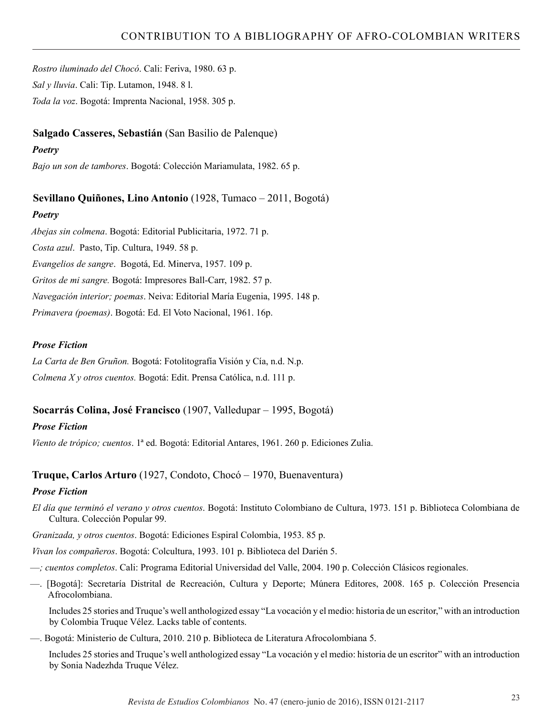*Rostro iluminado del Chocó*. Cali: Feriva, 1980. 63 p. *Sal y lluvia*. Cali: Tip. Lutamon, 1948. 8 l. *Toda la voz*. Bogotá: Imprenta Nacional, 1958. 305 p.

# **Salgado Casseres, Sebastián** (San Basilio de Palenque)

# *Poetry*

*Bajo un son de tambores*. Bogotá: Colección Mariamulata, 1982. 65 p.

# **Sevillano Quiñones, Lino Antonio** (1928, Tumaco – 2011, Bogotá)

# *Poetry*

*Abejas sin colmena*. Bogotá: Editorial Publicitaria, 1972. 71 p. *Costa azul*. Pasto, Tip. Cultura, 1949. 58 p. *Evangelios de sangre*. Bogotá, Ed. Minerva, 1957. 109 p. *Gritos de mi sangre.* Bogotá: Impresores Ball-Carr, 1982. 57 p. *Navegación interior; poemas*. Neiva: Editorial María Eugenia, 1995. 148 p. *Primavera (poemas)*. Bogotá: Ed. El Voto Nacional, 1961. 16p.

# *Prose Fiction*

*La Carta de Ben Gruñon.* Bogotá: Fotolitografía Visión y Cía, n.d. N.p. *Colmena X y otros cuentos.* Bogotá: Edit. Prensa Católica, n.d. 111 p.

# **Socarrás Colina, José Francisco** (1907, Valledupar – 1995, Bogotá)

# *Prose Fiction*

*Viento de trópico; cuentos*. 1ª ed. Bogotá: Editorial Antares, 1961. 260 p. Ediciones Zulia.

# **Truque, Carlos Arturo** (1927, Condoto, Chocó – 1970, Buenaventura)

# *Prose Fiction*

*El día que terminó el verano y otros cuentos*. Bogotá: Instituto Colombiano de Cultura, 1973. 151 p. Biblioteca Colombiana de Cultura. Colección Popular 99.

*Granizada, y otros cuentos*. Bogotá: Ediciones Espiral Colombia, 1953. 85 p.

*Vivan los compañeros*. Bogotá: Colcultura, 1993. 101 p. Biblioteca del Darién 5.

- —*; cuentos completos*. Cali: Programa Editorial Universidad del Valle, 2004. 190 p. Colección Clásicos regionales.
- —. [Bogotá]: Secretaría Distrital de Recreación, Cultura y Deporte; Múnera Editores, 2008. 165 p. Colección Presencia Afrocolombiana.

Includes 25 stories and Truque's well anthologized essay "La vocación y el medio: historia de un escritor," with an introduction by Colombia Truque Vélez. Lacks table of contents.

—. Bogotá: Ministerio de Cultura, 2010. 210 p. Biblioteca de Literatura Afrocolombiana 5.

Includes 25 stories and Truque's well anthologized essay "La vocación y el medio: historia de un escritor" with an introduction by Sonia Nadezhda Truque Vélez.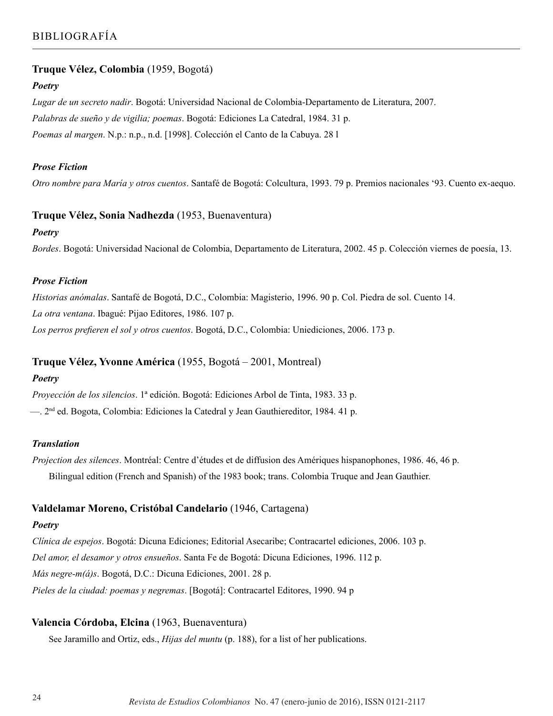# **Truque Vélez, Colombia** (1959, Bogotá)

### *Poetry*

*Lugar de un secreto nadir*. Bogotá: Universidad Nacional de Colombia-Departamento de Literatura, 2007. *Palabras de sueño y de vigilia; poemas*. Bogotá: Ediciones La Catedral, 1984. 31 p. *Poemas al margen*. N.p.: n.p., n.d. [1998]. Colección el Canto de la Cabuya. 28 l

### *Prose Fiction*

*Otro nombre para María y otros cuentos*. Santafé de Bogotá: Colcultura, 1993. 79 p. Premios nacionales '93. Cuento ex-aequo.

### **Truque Vélez, Sonia Nadhezda** (1953, Buenaventura)

### *Poetry*

*Bordes*. Bogotá: Universidad Nacional de Colombia, Departamento de Literatura, 2002. 45 p. Colección viernes de poesía, 13.

### *Prose Fiction*

*Historias anómalas*. Santafé de Bogotá, D.C., Colombia: Magisterio, 1996. 90 p. Col. Piedra de sol. Cuento 14. *La otra ventana*. Ibagué: Pijao Editores, 1986. 107 p. *Los perros prefieren el sol y otros cuentos*. Bogotá, D.C., Colombia: Uniediciones, 2006. 173 p.

# **Truque Vélez, Yvonne América** (1955, Bogotá – 2001, Montreal)

# *Poetry*

*Proyección de los silencios*. 1ª edición. Bogotá: Ediciones Arbol de Tinta, 1983. 33 p. —. 2nd ed. Bogota, Colombia: Ediciones la Catedral y Jean Gauthiereditor, 1984. 41 p.

### *Translation*

*Projection des silences*. Montréal: Centre d'études et de diffusion des Amériques hispanophones, 1986. 46, 46 p. Bilingual edition (French and Spanish) of the 1983 book; trans. Colombia Truque and Jean Gauthier.

# **Valdelamar Moreno, Cristóbal Candelario** (1946, Cartagena)

### *Poetry*

*Clínica de espejos*. Bogotá: Dicuna Ediciones; Editorial Asecaribe; Contracartel ediciones, 2006. 103 p. *Del amor, el desamor y otros ensueños*. Santa Fe de Bogotá: Dicuna Ediciones, 1996. 112 p. *Más negre-m(á)s*. Bogotá, D.C.: Dicuna Ediciones, 2001. 28 p. *Pieles de la ciudad: poemas y negremas*. [Bogotá]: Contracartel Editores, 1990. 94 p

# **Valencia Córdoba, Elcina** (1963, Buenaventura)

See Jaramillo and Ortiz, eds., *Hijas del muntu* (p. 188), for a list of her publications.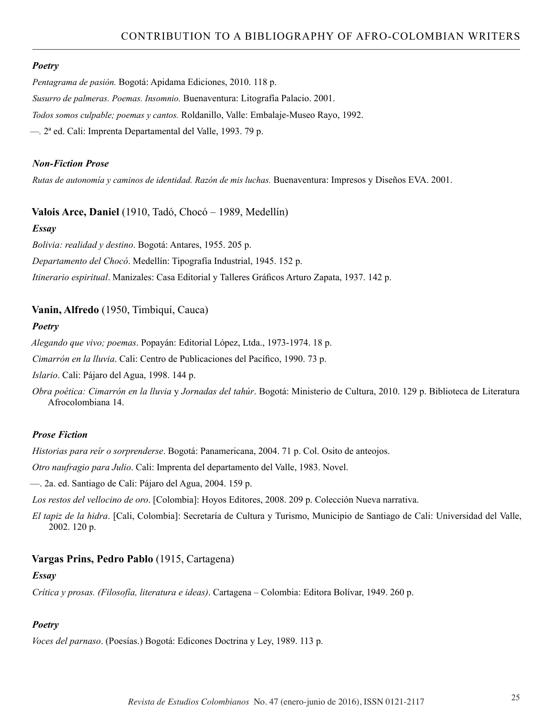### *Poetry*

*Pentagrama de pasión.* Bogotá: Apidama Ediciones, 2010. 118 p. *Susurro de palmeras. Poemas. Insomnio.* Buenaventura: Litografía Palacio. 2001. *Todos somos culpable; poemas y cantos.* Roldanillo, Valle: Embalaje-Museo Rayo, 1992. —*.* 2ª ed. Cali: Imprenta Departamental del Valle, 1993. 79 p.

### *Non-Fiction Prose*

*Rutas de autonomía y caminos de identidad. Razón de mis luchas.* Buenaventura: Impresos y Diseños EVA. 2001.

# **Valois Arce, Daniel** (1910, Tadó, Chocó – 1989, Medellín)

### *Essay*

*Bolivia: realidad y destino*. Bogotá: Antares, 1955. 205 p.

*Departamento del Chocó*. Medellín: Tipografía Industrial, 1945. 152 p.

*Itinerario espiritual*. Manizales: Casa Editorial y Talleres Gráficos Arturo Zapata, 1937. 142 p.

# **Vanin, Alfredo** (1950, Timbiquí, Cauca)

### *Poetry*

*Alegando que vivo; poemas*. Popayán: Editorial López, Ltda., 1973-1974. 18 p.

*Cimarrón en la lluvia*. Cali: Centro de Publicaciones del Pacífico, 1990. 73 p.

*Islario*. Cali: Pájaro del Agua, 1998. 144 p.

*Obra poética: Cimarrón en la lluvia* y *Jornadas del tahúr*. Bogotá: Ministerio de Cultura, 2010. 129 p. Biblioteca de Literatura Afrocolombiana 14.

# *Prose Fiction*

*Historias para reír o sorprenderse*. Bogotá: Panamericana, 2004. 71 p. Col. Osito de anteojos.

*Otro naufragio para Julio*. Cali: Imprenta del departamento del Valle, 1983. Novel.

—. 2a. ed. Santiago de Cali: Pájaro del Agua, 2004. 159 p.

*Los restos del vellocino de oro*. [Colombia]: Hoyos Editores, 2008. 209 p. Colección Nueva narrativa.

*El tapiz de la hidra*. [Cali, Colombia]: Secretaría de Cultura y Turismo, Municipio de Santiago de Cali: Universidad del Valle, 2002. 120 p.

# **Vargas Prins, Pedro Pablo** (1915, Cartagena)

### *Essay*

*Crítica y prosas. (Filosofía, literatura e ideas)*. Cartagena – Colombia: Editora Bolívar, 1949. 260 p.

# *Poetry*

*Voces del parnaso*. (Poesías.) Bogotá: Edicones Doctrina y Ley, 1989. 113 p.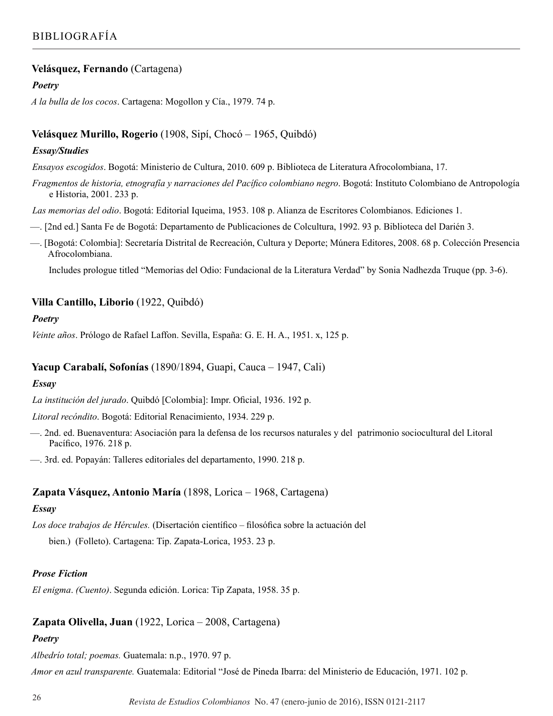# **Velásquez, Fernando** (Cartagena)

### *Poetry*

*A la bulla de los cocos*. Cartagena: Mogollon y Cía., 1979. 74 p.

# **Velásquez Murillo, Rogerio** (1908, Sipí, Chocó – 1965, Quibdó)

### *Essay/Studies*

*Ensayos escogidos*. Bogotá: Ministerio de Cultura, 2010. 609 p. Biblioteca de Literatura Afrocolombiana, 17.

*Fragmentos de historia, etnografía y narraciones del Pacífico colombiano negro*. Bogotá: Instituto Colombiano de Antropología e Historia, 2001. 233 p.

*Las memorias del odio*. Bogotá: Editorial Iqueima, 1953. 108 p. Alianza de Escritores Colombianos. Ediciones 1.

—. [2nd ed.] Santa Fe de Bogotá: Departamento de Publicaciones de Colcultura, 1992. 93 p. Biblioteca del Darién 3.

—. [Bogotá: Colombia]: Secretaría Distrital de Recreación, Cultura y Deporte; Múnera Editores, 2008. 68 p. Colección Presencia Afrocolombiana.

Includes prologue titled "Memorias del Odio: Fundacional de la Literatura Verdad" by Sonia Nadhezda Truque (pp. 3-6).

# **Villa Cantillo, Liborio** (1922, Quibdó)

### *Poetry*

*Veinte años*. Prólogo de Rafael Laffon. Sevilla, España: G. E. H. A., 1951. x, 125 p.

### **Yacup Carabalí, Sofonías** (1890/1894, Guapi, Cauca – 1947, Cali)

### *Essay*

*La institución del jurado*. Quibdó [Colombia]: Impr. Oficial, 1936. 192 p.

*Litoral recóndito*. Bogotá: Editorial Renacimiento, 1934. 229 p.

—. 2nd. ed. Buenaventura: Asociación para la defensa de los recursos naturales y del patrimonio sociocultural del Litoral Pacífico, 1976. 218 p.

—. 3rd. ed. Popayán: Talleres editoriales del departamento, 1990. 218 p.

# **Zapata Vásquez, Antonio María** (1898, Lorica – 1968, Cartagena)

### *Essay*

*Los doce trabajos de Hércules.* (Disertación científico – filosófica sobre la actuación del bien.) (Folleto). Cartagena: Tip. Zapata-Lorica, 1953. 23 p.

### *Prose Fiction*

*El enigma*. *(Cuento)*. Segunda edición. Lorica: Tip Zapata, 1958. 35 p.

# **Zapata Olivella, Juan** (1922, Lorica – 2008, Cartagena)

# *Poetry*

*Albedrío total; poemas.* Guatemala: n.p., 1970. 97 p. *Amor en azul transparente.* Guatemala: Editorial "José de Pineda Ibarra: del Ministerio de Educación, 1971. 102 p.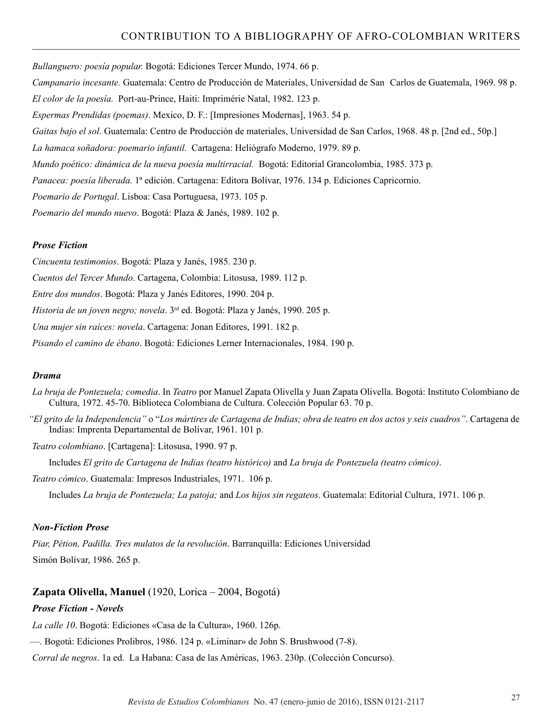*Bullanguero: poesía popular.* Bogotá: Ediciones Tercer Mundo, 1974. 66 p.

*Campanario incesante.* Guatemala: Centro de Producción de Materiales, Universidad de San Carlos de Guatemala, 1969. 98 p. *El color de la poesía.* Port-au-Prince, Haiti: Imprimérie Natal, 1982. 123 p. *Espermas Prendidas (poemas)*. Mexico, D. F.: [Impresiones Modernas], 1963. 54 p. *Gaitas bajo el sol*. Guatemala: Centro de Producción de materiales, Universidad de San Carlos, 1968. 48 p. [2nd ed., 50p.] *La hamaca soñadora: poemario infantil.* Cartagena: Heliógrafo Moderno, 1979. 89 p. *Mundo poético: dinámica de la nueva poesía multirracial.* Bogotá: Editorial Grancolombia, 1985. 373 p. *Panacea: poesía liberada.* 1ª edición. Cartagena: Editora Bolívar, 1976. 134 p. Ediciones Capricornio.

*Poemario de Portugal*. Lisboa: Casa Portuguesa, 1973. 105 p.

*Poemario del mundo nuevo*. Bogotá: Plaza & Janés, 1989. 102 p.

#### *Prose Fiction*

*Cincuenta testimonios*. Bogotá: Plaza y Janés, 1985. 230 p.

*Cuentos del Tercer Mundo*. Cartagena, Colombia: Litosusa, 1989. 112 p.

*Entre dos mundos*. Bogotá: Plaza y Janés Editores, 1990. 204 p.

*Historia de un joven negro; novela*. 3rd ed. Bogotá: Plaza y Janés, 1990. 205 p.

*Una mujer sin raíces: novela*. Cartagena: Jonan Editores, 1991. 182 p.

*Pisando el camino de ébano*. Bogotá: Ediciones Lerner Internacionales, 1984. 190 p.

#### *Drama*

- *La bruja de Pontezuela; comedia*. In *Teatro* por Manuel Zapata Olivella y Juan Zapata Olivella. Bogotá: Instituto Colombiano de Cultura, 1972. 45-70. Biblioteca Colombiana de Cultura. Colección Popular 63. 70 p.
- *"El grito de la Independencia"* o "*Los mártires de Cartagena de Indias; obra de teatro en dos actos y seis cuadros"*. Cartagena de Indias: Imprenta Departamental de Bolívar, 1961. 101 p.

*Teatro colombiano*. [Cartagena]: Litosusa, 1990. 97 p.

Includes *El grito de Cartagena de Indias (teatro histórico)* and *La bruja de Pontezuela (teatro cómico)*.

*Teatro cómico*. Guatemala: Impresos Industriales, 1971. 106 p.

Includes *La bruja de Pontezuela; La patoja;* and *Los hijos sin regateos*. Guatemala: Editorial Cultura, 1971. 106 p.

#### *Non-Fiction Prose*

*Piar, Pétion, Padilla. Tres mulatos de la revolución*. Barranquilla: Ediciones Universidad Simón Bolívar, 1986. 265 p.

#### **Zapata Olivella, Manuel** (1920, Lorica – 2004, Bogotá)

### *Prose Fiction - Novels*

*La calle 10*. Bogotá: Ediciones «Casa de la Cultura», 1960. 126p.

—. Bogotá: Ediciones Prolibros, 1986. 124 p. «Liminar» de John S. Brushwood (7-8).

*Corral de negros*. 1a ed. La Habana: Casa de las Américas, 1963. 230p. (Colección Concurso).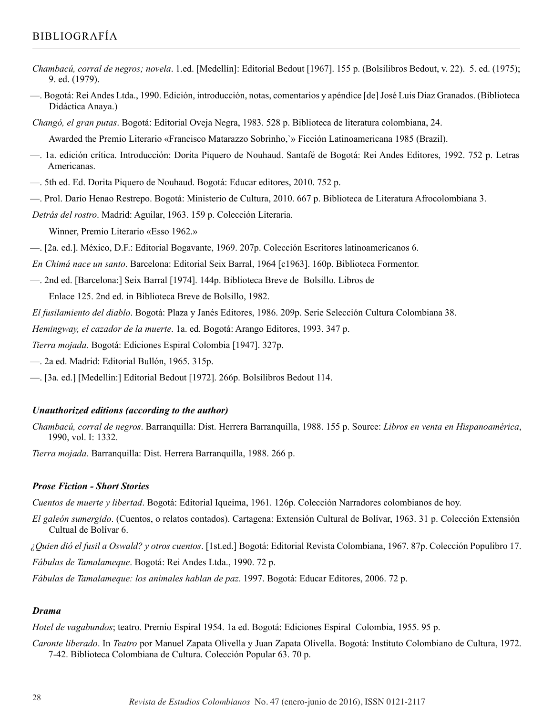# BIBLIOGRAFÍA

- *Chambacú, corral de negros; novela*. 1.ed. [Medellín]: Editorial Bedout [1967]. 155 p. (Bolsilibros Bedout, v. 22). 5. ed. (1975); 9. ed. (1979).
- —. Bogotá: Rei Andes Ltda., 1990. Edición, introducción, notas, comentarios y apéndice [de] José Luis Díaz Granados. (Biblioteca Didáctica Anaya.)

*Changó, el gran putas*. Bogotá: Editorial Oveja Negra, 1983. 528 p. Biblioteca de literatura colombiana, 24.

Awarded the Premio Literario «Francisco Matarazzo Sobrinho,`» Ficción Latinoamericana 1985 (Brazil).

- —. 1a. edición crítica. Introducción: Dorita Piquero de Nouhaud. Santafé de Bogotá: Rei Andes Editores, 1992. 752 p. Letras Americanas.
- —. 5th ed. Ed. Dorita Piquero de Nouhaud. Bogotá: Educar editores, 2010. 752 p.
- —. Prol. Darío Henao Restrepo. Bogotá: Ministerio de Cultura, 2010. 667 p. Biblioteca de Literatura Afrocolombiana 3.
- *Detrás del rostro*. Madrid: Aguilar, 1963. 159 p. Colección Literaria.
	- Winner, Premio Literario «Esso 1962.»
- —. [2a. ed.]. México, D.F.: Editorial Bogavante, 1969. 207p. Colección Escritores latinoamericanos 6.

*En Chimá nace un santo*. Barcelona: Editorial Seix Barral, 1964 [c1963]. 160p. Biblioteca Formentor.

—. 2nd ed. [Barcelona:] Seix Barral [1974]. 144p. Biblioteca Breve de Bolsillo. Libros de

Enlace 125. 2nd ed. in Biblioteca Breve de Bolsillo, 1982.

*El fusilamiento del diablo*. Bogotá: Plaza y Janés Editores, 1986. 209p. Serie Selección Cultura Colombiana 38.

*Hemingway, el cazador de la muerte*. 1a. ed. Bogotá: Arango Editores, 1993. 347 p.

*Tierra mojada*. Bogotá: Ediciones Espiral Colombia [1947]. 327p.

- —. 2a ed. Madrid: Editorial Bullón, 1965. 315p.
- —. [3a. ed.] [Medellín:] Editorial Bedout [1972]. 266p. Bolsilibros Bedout 114.

### *Unauthorized editions (according to the author)*

*Chambacú, corral de negros*. Barranquilla: Dist. Herrera Barranquilla, 1988. 155 p. Source: *Libros en venta en Hispanoamérica*, 1990, vol. I: 1332.

*Tierra mojada*. Barranquilla: Dist. Herrera Barranquilla, 1988. 266 p.

#### *Prose Fiction - Short Stories*

*Cuentos de muerte y libertad*. Bogotá: Editorial Iqueima, 1961. 126p. Colección Narradores colombianos de hoy.

- *El galeón sumergido*. (Cuentos, o relatos contados). Cartagena: Extensión Cultural de Bolívar, 1963. 31 p. Colección Extensión Cultual de Bolívar 6.
- *¿Quien dió el fusil a Oswald? y otros cuentos*. [1st.ed.] Bogotá: Editorial Revista Colombiana, 1967. 87p. Colección Populibro 17.

*Fábulas de Tamalameque*. Bogotá: Rei Andes Ltda., 1990. 72 p.

*Fábulas de Tamalameque: los animales hablan de paz*. 1997. Bogotá: Educar Editores, 2006. 72 p.

### *Drama*

*Hotel de vagabundos*; teatro. Premio Espiral 1954. 1a ed. Bogotá: Ediciones Espiral Colombia, 1955. 95 p.

*Caronte liberado*. In *Teatro* por Manuel Zapata Olivella y Juan Zapata Olivella. Bogotá: Instituto Colombiano de Cultura, 1972. 7-42. Biblioteca Colombiana de Cultura. Colección Popular 63. 70 p.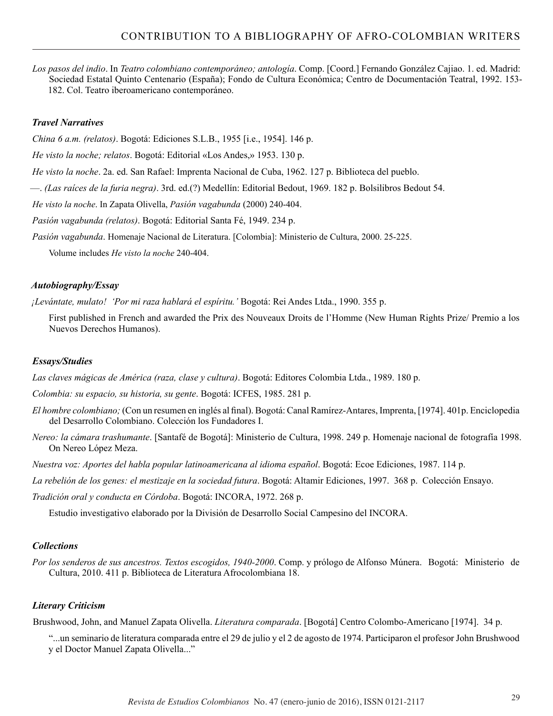*Los pasos del indio*. In *Teatro colombiano contemporáneo; antología*. Comp. [Coord.] Fernando González Cajiao. 1. ed. Madrid: Sociedad Estatal Quinto Centenario (España); Fondo de Cultura Económica; Centro de Documentación Teatral, 1992. 153- 182. Col. Teatro iberoamericano contemporáneo.

### *Travel Narratives*

*China 6 a.m. (relatos)*. Bogotá: Ediciones S.L.B., 1955 [i.e., 1954]. 146 p.

*He visto la noche; relatos*. Bogotá: Editorial «Los Andes,» 1953. 130 p.

*He visto la noche*. 2a. ed. San Rafael: Imprenta Nacional de Cuba, 1962. 127 p. Biblioteca del pueblo.

—. *(Las raíces de la furia negra)*. 3rd. ed.(?) Medellín: Editorial Bedout, 1969. 182 p. Bolsilibros Bedout 54.

*He visto la noche*. In Zapata Olivella, *Pasión vagabunda* (2000) 240-404.

*Pasión vagabunda (relatos)*. Bogotá: Editorial Santa Fé, 1949. 234 p.

*Pasión vagabunda*. Homenaje Nacional de Literatura. [Colombia]: Ministerio de Cultura, 2000. 25-225.

Volume includes *He visto la noche* 240-404.

#### *Autobiography/Essay*

*¡Levántate, mulato! 'Por mi raza hablará el espíritu.'* Bogotá: Rei Andes Ltda., 1990. 355 p.

First published in French and awarded the Prix des Nouveaux Droits de l'Homme (New Human Rights Prize/ Premio a los Nuevos Derechos Humanos).

#### *Essays/Studies*

*Las claves mágicas de América (raza, clase y cultura)*. Bogotá: Editores Colombia Ltda., 1989. 180 p.

*Colombia: su espacio, su historia, su gente*. Bogotá: ICFES, 1985. 281 p.

- *El hombre colombiano;* (Con un resumen en inglés al final). Bogotá: Canal Ramírez-Antares, Imprenta, [1974]. 401p. Enciclopedia del Desarrollo Colombiano. Colección los Fundadores I.
- *Nereo: la cámara trashumante*. [Santafé de Bogotá]: Ministerio de Cultura, 1998. 249 p. Homenaje nacional de fotografía 1998. On Nereo López Meza.
- *Nuestra voz: Aportes del habla popular latinoamericana al idioma español*. Bogotá: Ecoe Ediciones, 1987. 114 p.

*La rebelión de los genes: el mestizaje en la sociedad futura*. Bogotá: Altamir Ediciones, 1997. 368 p. Colección Ensayo.

*Tradición oral y conducta en Córdoba*. Bogotá: INCORA, 1972. 268 p.

Estudio investigativo elaborado por la División de Desarrollo Social Campesino del INCORA.

### *Collections*

*Por los senderos de sus ancestros. Textos escogidos, 1940-2000*. Comp. y prólogo de Alfonso Múnera. Bogotá: Ministerio de Cultura, 2010. 411 p. Biblioteca de Literatura Afrocolombiana 18.

### *Literary Criticism*

Brushwood, John, and Manuel Zapata Olivella. *Literatura comparada*. [Bogotá] Centro Colombo-Americano [1974]. 34 p.

"...un seminario de literatura comparada entre el 29 de julio y el 2 de agosto de 1974. Participaron el profesor John Brushwood y el Doctor Manuel Zapata Olivella..."